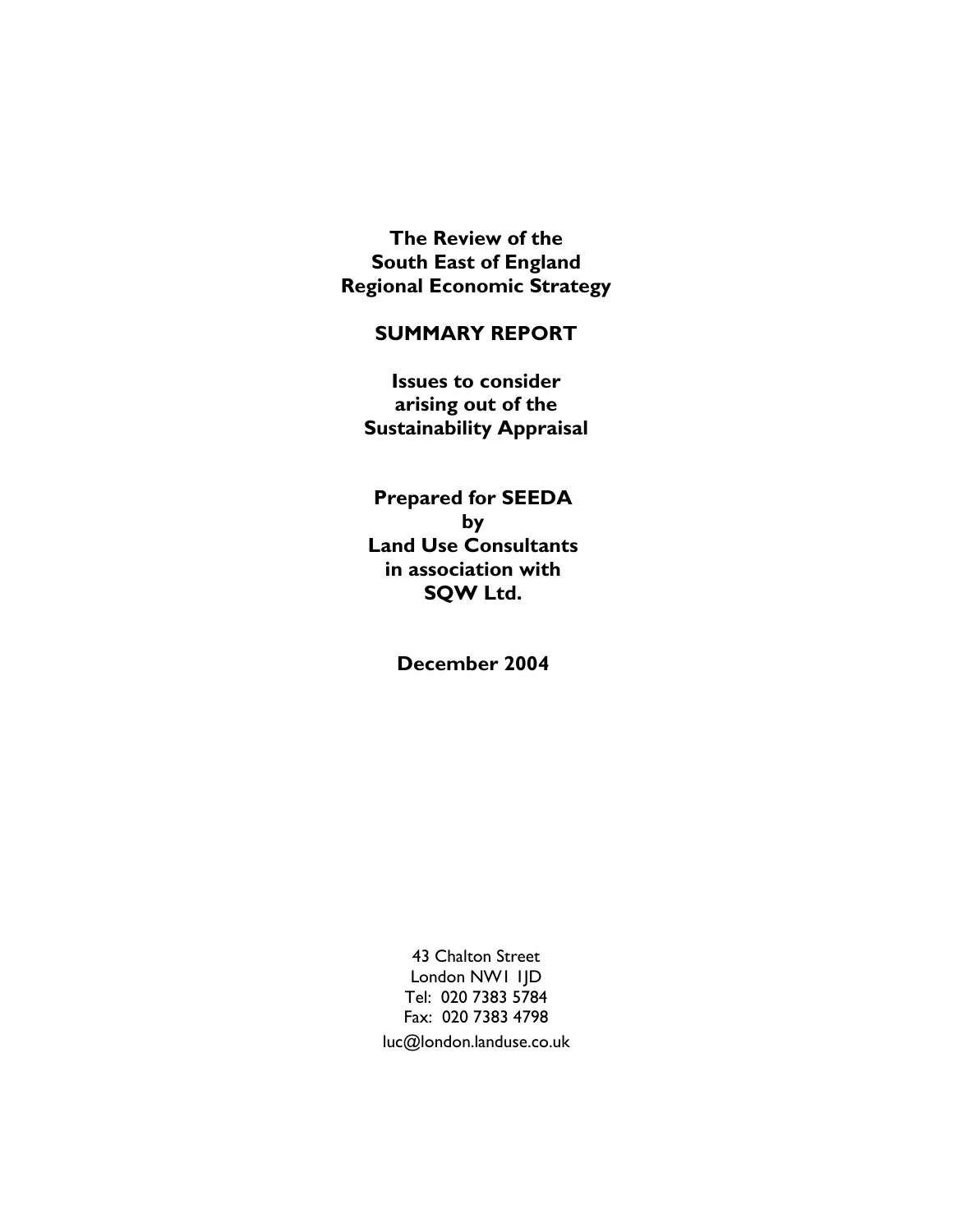**The Review of the South East of England Regional Economic Strategy** 

#### **SUMMARY REPORT**

**Issues to consider arising out of the Sustainability Appraisal** 

**Prepared for SEEDA by Land Use Consultants in association with SQW Ltd.** 

**December 2004** 

43 Chalton Street London NW1 1JD Tel: 020 7383 5784 Fax: 020 7383 4798 luc@london.landuse.co.uk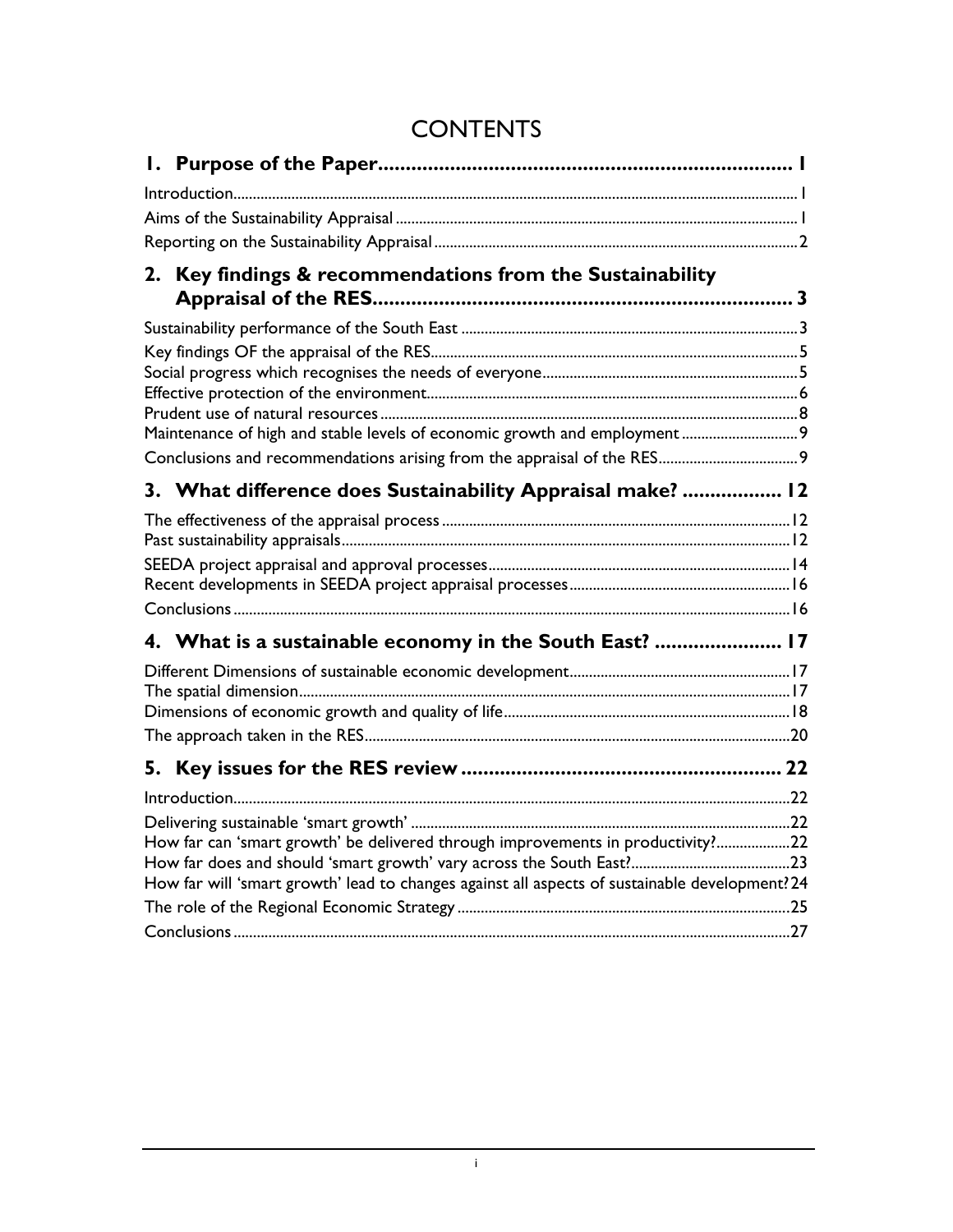| Key findings & recommendations from the Sustainability<br>2.                                   |  |
|------------------------------------------------------------------------------------------------|--|
|                                                                                                |  |
|                                                                                                |  |
|                                                                                                |  |
|                                                                                                |  |
|                                                                                                |  |
| Maintenance of high and stable levels of economic growth and employment 9                      |  |
|                                                                                                |  |
| 3. What difference does Sustainability Appraisal make?  12                                     |  |
|                                                                                                |  |
|                                                                                                |  |
|                                                                                                |  |
|                                                                                                |  |
|                                                                                                |  |
| 4. What is a sustainable economy in the South East?  17                                        |  |
|                                                                                                |  |
|                                                                                                |  |
|                                                                                                |  |
|                                                                                                |  |
| 5.                                                                                             |  |
|                                                                                                |  |
|                                                                                                |  |
| How far can 'smart growth' be delivered through improvements in productivity?22                |  |
|                                                                                                |  |
| How far will 'smart growth' lead to changes against all aspects of sustainable development? 24 |  |
|                                                                                                |  |
|                                                                                                |  |

# **CONTENTS**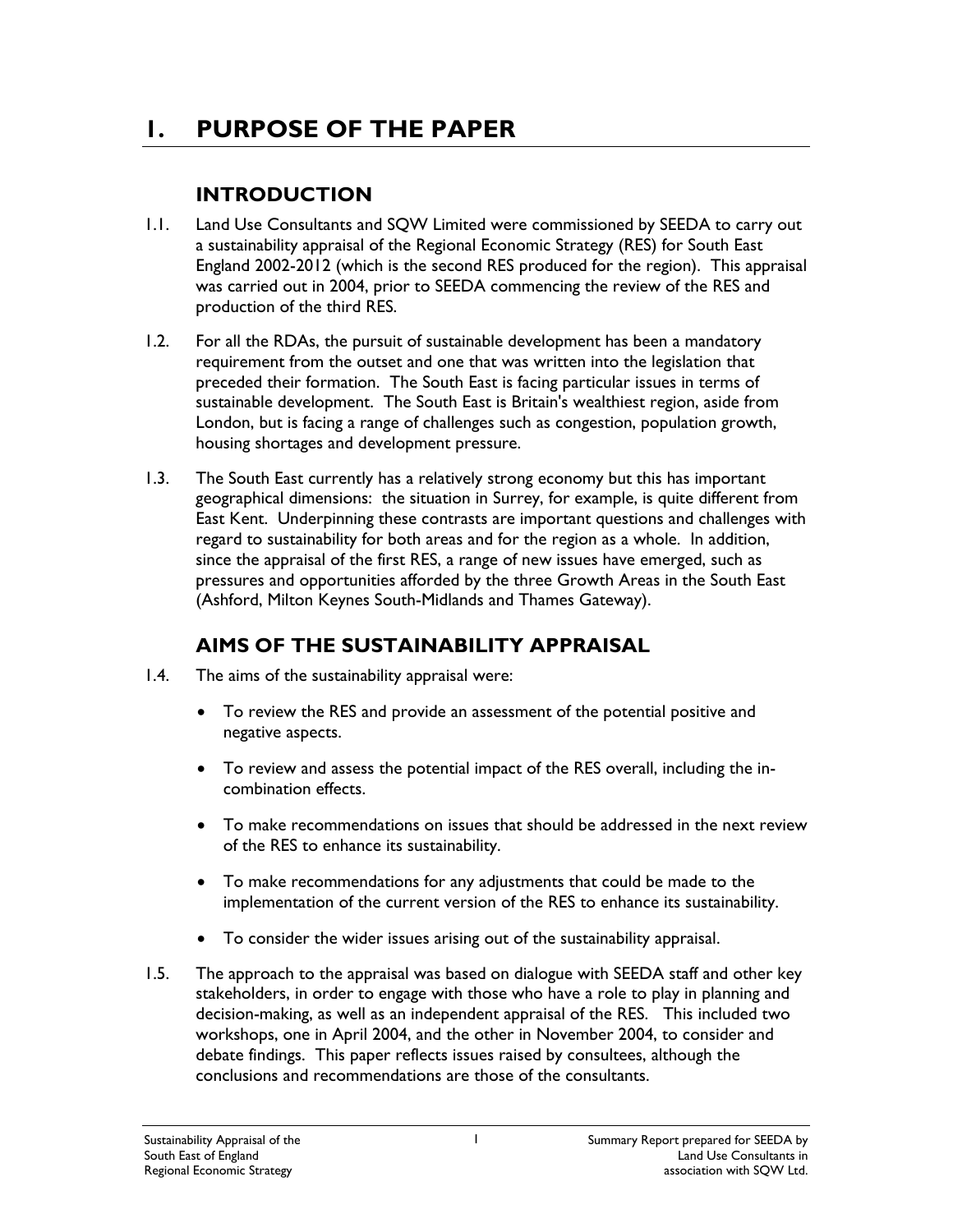# **1. PURPOSE OF THE PAPER**

## **INTRODUCTION**

- 1.1. Land Use Consultants and SQW Limited were commissioned by SEEDA to carry out a sustainability appraisal of the Regional Economic Strategy (RES) for South East England 2002-2012 (which is the second RES produced for the region). This appraisal was carried out in 2004, prior to SEEDA commencing the review of the RES and production of the third RES.
- 1.2. For all the RDAs, the pursuit of sustainable development has been a mandatory requirement from the outset and one that was written into the legislation that preceded their formation. The South East is facing particular issues in terms of sustainable development. The South East is Britain's wealthiest region, aside from London, but is facing a range of challenges such as congestion, population growth, housing shortages and development pressure.
- 1.3. The South East currently has a relatively strong economy but this has important geographical dimensions: the situation in Surrey, for example, is quite different from East Kent. Underpinning these contrasts are important questions and challenges with regard to sustainability for both areas and for the region as a whole. In addition, since the appraisal of the first RES, a range of new issues have emerged, such as pressures and opportunities afforded by the three Growth Areas in the South East (Ashford, Milton Keynes South-Midlands and Thames Gateway).

## **AIMS OF THE SUSTAINABILITY APPRAISAL**

- 1.4. The aims of the sustainability appraisal were:
	- To review the RES and provide an assessment of the potential positive and negative aspects.
	- To review and assess the potential impact of the RES overall, including the incombination effects.
	- To make recommendations on issues that should be addressed in the next review of the RES to enhance its sustainability.
	- To make recommendations for any adjustments that could be made to the implementation of the current version of the RES to enhance its sustainability.
	- To consider the wider issues arising out of the sustainability appraisal.
- 1.5. The approach to the appraisal was based on dialogue with SEEDA staff and other key stakeholders, in order to engage with those who have a role to play in planning and decision-making, as well as an independent appraisal of the RES. This included two workshops, one in April 2004, and the other in November 2004, to consider and debate findings. This paper reflects issues raised by consultees, although the conclusions and recommendations are those of the consultants.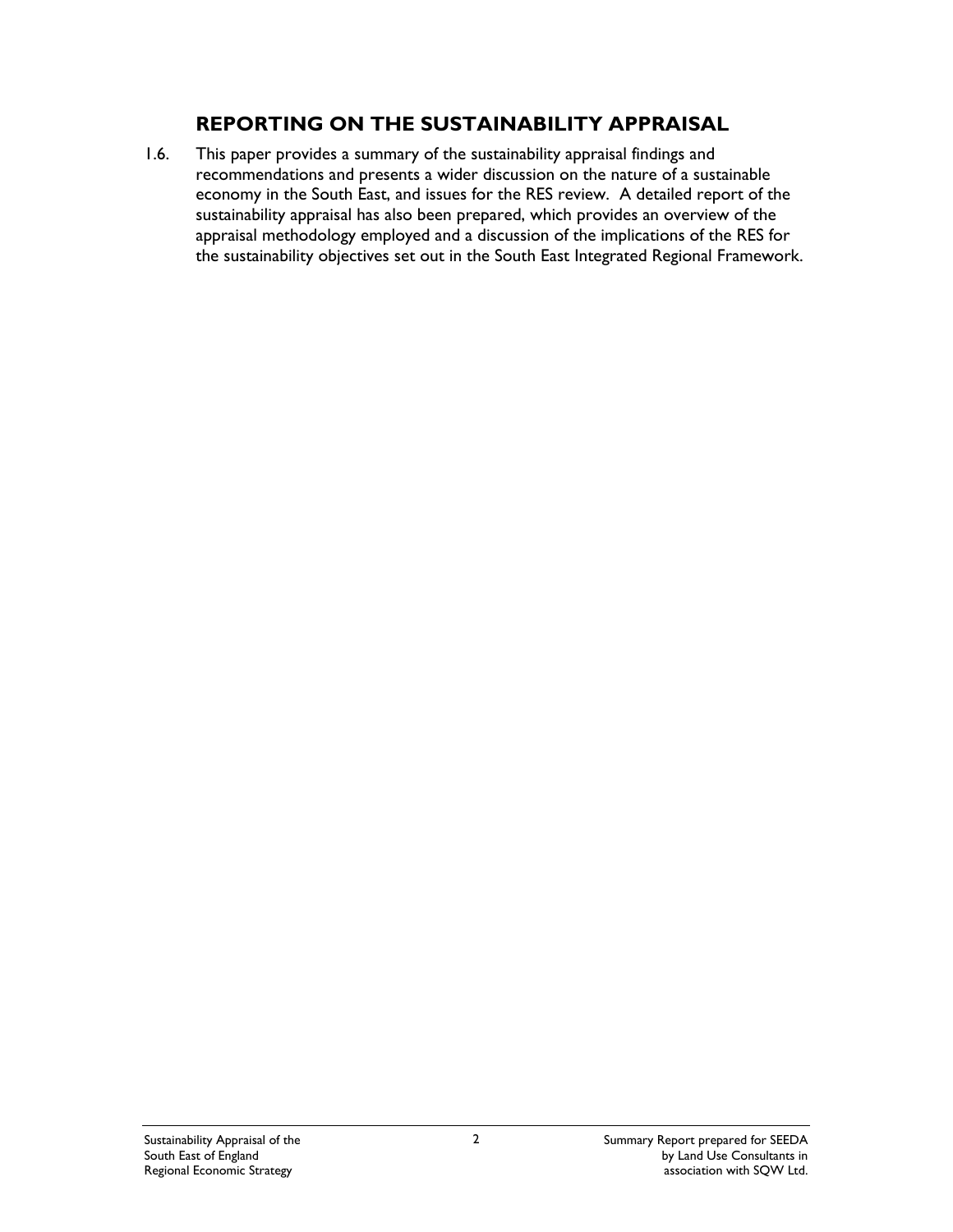### **REPORTING ON THE SUSTAINABILITY APPRAISAL**

1.6. This paper provides a summary of the sustainability appraisal findings and recommendations and presents a wider discussion on the nature of a sustainable economy in the South East, and issues for the RES review. A detailed report of the sustainability appraisal has also been prepared, which provides an overview of the appraisal methodology employed and a discussion of the implications of the RES for the sustainability objectives set out in the South East Integrated Regional Framework.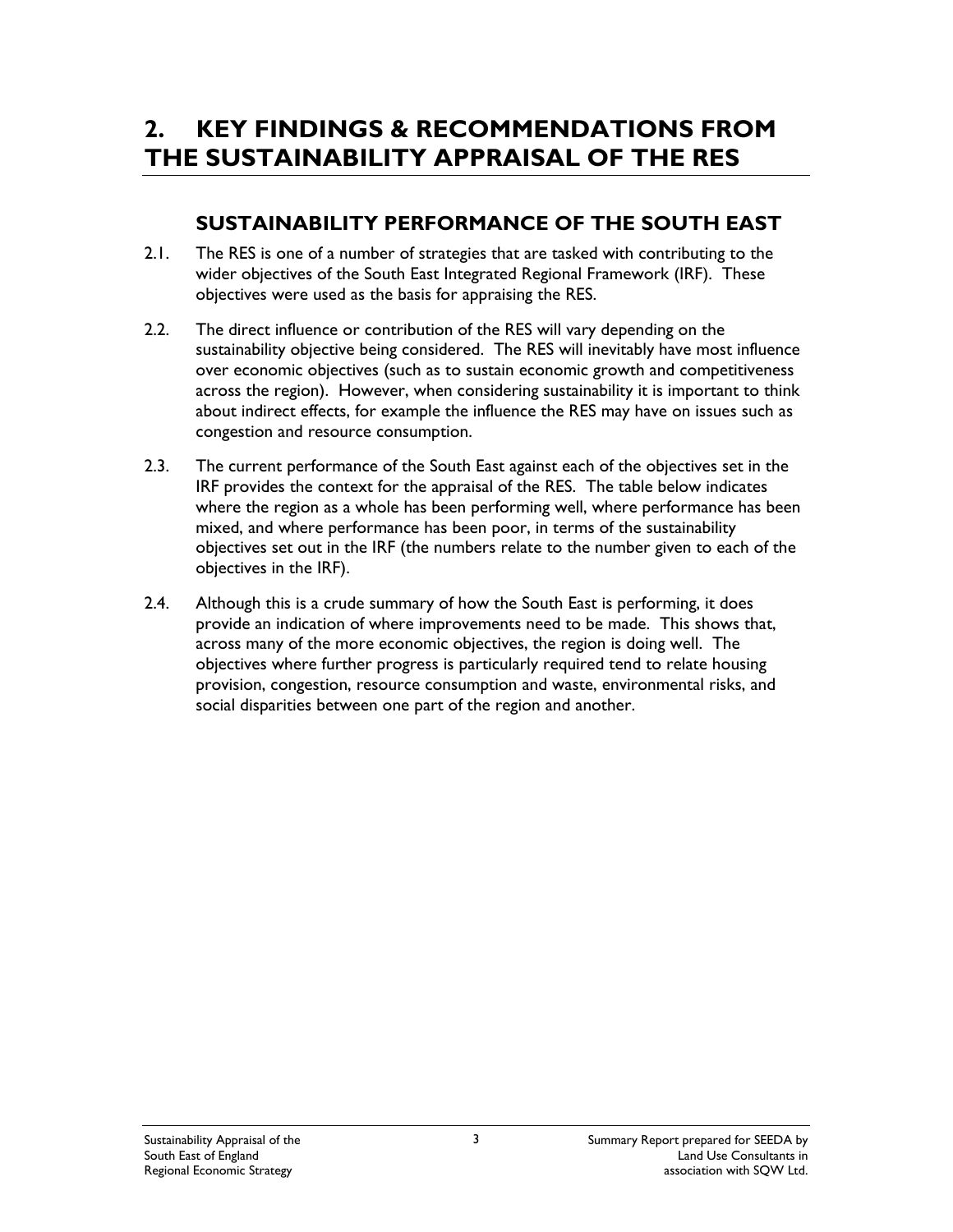# **2. KEY FINDINGS & RECOMMENDATIONS FROM THE SUSTAINABILITY APPRAISAL OF THE RES**

## **SUSTAINABILITY PERFORMANCE OF THE SOUTH EAST**

- 2.1. The RES is one of a number of strategies that are tasked with contributing to the wider objectives of the South East Integrated Regional Framework (IRF). These objectives were used as the basis for appraising the RES.
- 2.2. The direct influence or contribution of the RES will vary depending on the sustainability objective being considered. The RES will inevitably have most influence over economic objectives (such as to sustain economic growth and competitiveness across the region). However, when considering sustainability it is important to think about indirect effects, for example the influence the RES may have on issues such as congestion and resource consumption.
- 2.3. The current performance of the South East against each of the objectives set in the IRF provides the context for the appraisal of the RES. The table below indicates where the region as a whole has been performing well, where performance has been mixed, and where performance has been poor, in terms of the sustainability objectives set out in the IRF (the numbers relate to the number given to each of the objectives in the IRF).
- 2.4. Although this is a crude summary of how the South East is performing, it does provide an indication of where improvements need to be made. This shows that, across many of the more economic objectives, the region is doing well. The objectives where further progress is particularly required tend to relate housing provision, congestion, resource consumption and waste, environmental risks, and social disparities between one part of the region and another.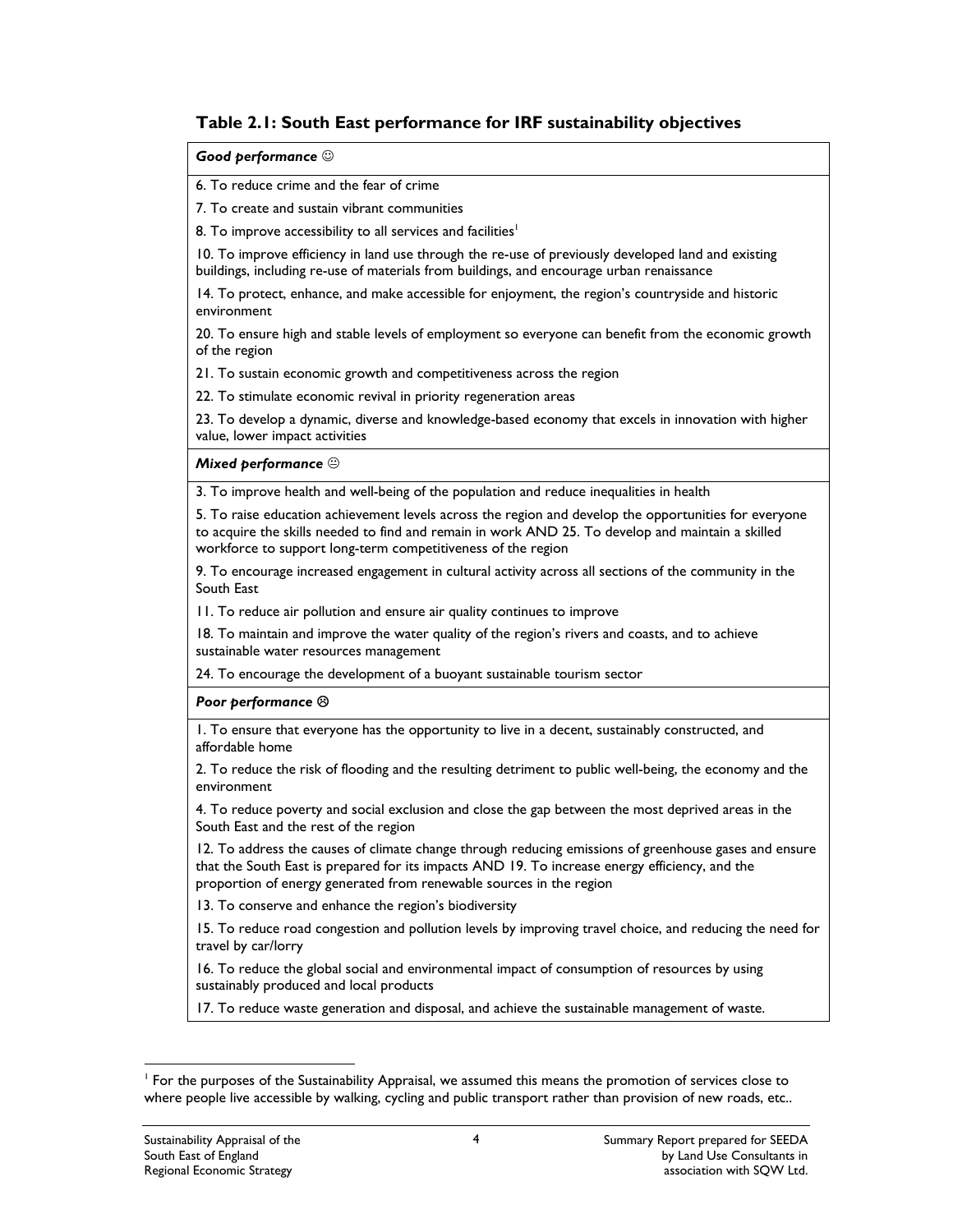#### **Table 2.1: South East performance for IRF sustainability objectives**

#### *Good performance* ☺

6. To reduce crime and the fear of crime

7. To create and sustain vibrant communities

8. To improve accessibility to all services and facilities<sup>1</sup>

10. To improve efficiency in land use through the re-use of previously developed land and existing buildings, including re-use of materials from buildings, and encourage urban renaissance

14. To protect, enhance, and make accessible for enjoyment, the region's countryside and historic environment

20. To ensure high and stable levels of employment so everyone can benefit from the economic growth of the region

21. To sustain economic growth and competitiveness across the region

22. To stimulate economic revival in priority regeneration areas

23. To develop a dynamic, diverse and knowledge-based economy that excels in innovation with higher value, lower impact activities

#### *Mixed performance* .

3. To improve health and well-being of the population and reduce inequalities in health

5. To raise education achievement levels across the region and develop the opportunities for everyone to acquire the skills needed to find and remain in work AND 25. To develop and maintain a skilled workforce to support long-term competitiveness of the region

9. To encourage increased engagement in cultural activity across all sections of the community in the South East

11. To reduce air pollution and ensure air quality continues to improve

18. To maintain and improve the water quality of the region's rivers and coasts, and to achieve sustainable water resources management

24. To encourage the development of a buoyant sustainable tourism sector

#### *Poor performance* /

1. To ensure that everyone has the opportunity to live in a decent, sustainably constructed, and affordable home

2. To reduce the risk of flooding and the resulting detriment to public well-being, the economy and the environment

4. To reduce poverty and social exclusion and close the gap between the most deprived areas in the South East and the rest of the region

12. To address the causes of climate change through reducing emissions of greenhouse gases and ensure that the South East is prepared for its impacts AND 19. To increase energy efficiency, and the proportion of energy generated from renewable sources in the region

13. To conserve and enhance the region's biodiversity

15. To reduce road congestion and pollution levels by improving travel choice, and reducing the need for travel by car/lorry

16. To reduce the global social and environmental impact of consumption of resources by using sustainably produced and local products

17. To reduce waste generation and disposal, and achieve the sustainable management of waste.

 $\overline{a}$ 

<sup>1</sup> For the purposes of the Sustainability Appraisal, we assumed this means the promotion of services close to where people live accessible by walking, cycling and public transport rather than provision of new roads, etc..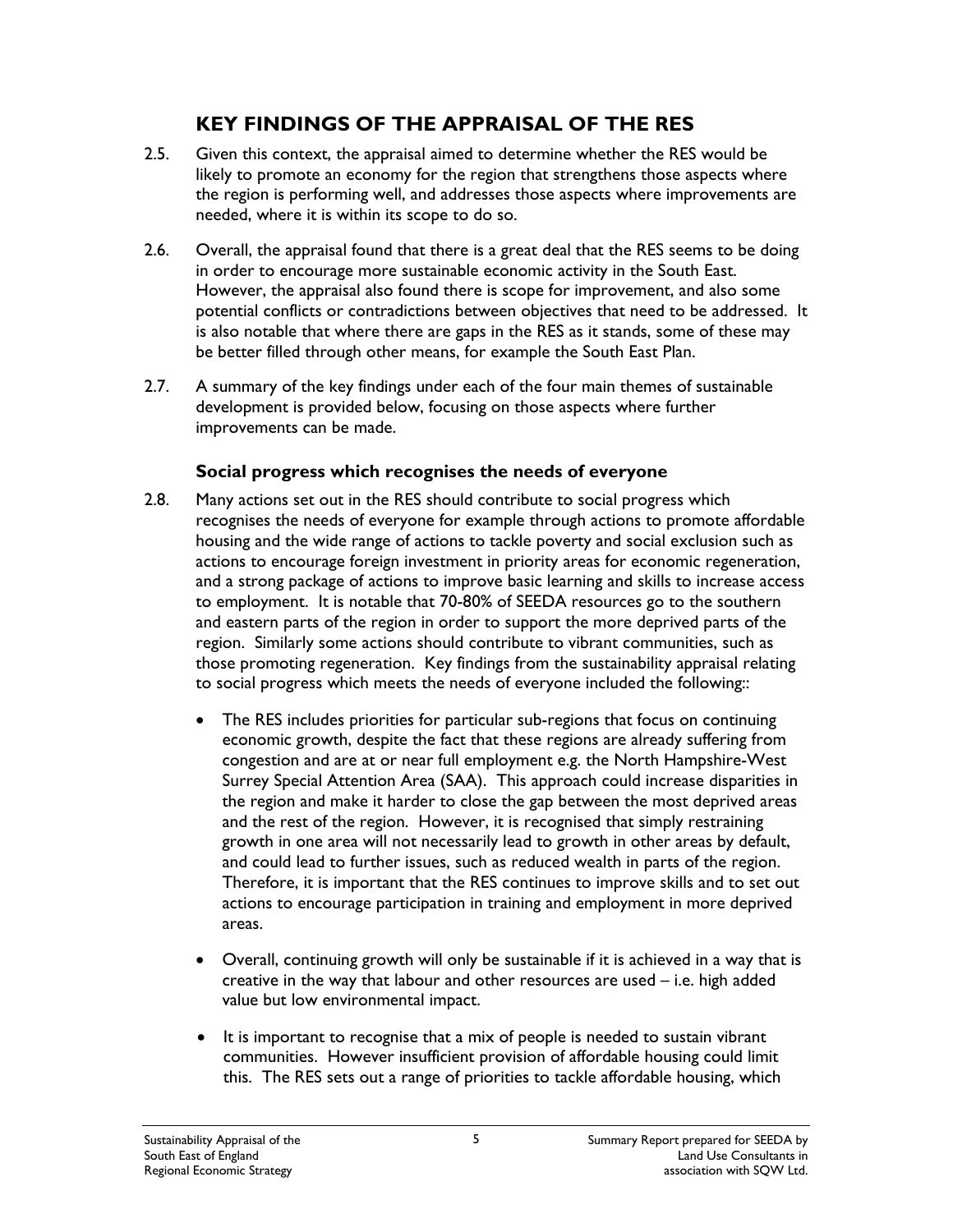## **KEY FINDINGS OF THE APPRAISAL OF THE RES**

- 2.5. Given this context, the appraisal aimed to determine whether the RES would be likely to promote an economy for the region that strengthens those aspects where the region is performing well, and addresses those aspects where improvements are needed, where it is within its scope to do so.
- 2.6. Overall, the appraisal found that there is a great deal that the RES seems to be doing in order to encourage more sustainable economic activity in the South East. However, the appraisal also found there is scope for improvement, and also some potential conflicts or contradictions between objectives that need to be addressed. It is also notable that where there are gaps in the RES as it stands, some of these may be better filled through other means, for example the South East Plan.
- 2.7. A summary of the key findings under each of the four main themes of sustainable development is provided below, focusing on those aspects where further improvements can be made.

### **Social progress which recognises the needs of everyone**

- 2.8. Many actions set out in the RES should contribute to social progress which recognises the needs of everyone for example through actions to promote affordable housing and the wide range of actions to tackle poverty and social exclusion such as actions to encourage foreign investment in priority areas for economic regeneration, and a strong package of actions to improve basic learning and skills to increase access to employment. It is notable that 70-80% of SEEDA resources go to the southern and eastern parts of the region in order to support the more deprived parts of the region. Similarly some actions should contribute to vibrant communities, such as those promoting regeneration. Key findings from the sustainability appraisal relating to social progress which meets the needs of everyone included the following::
	- The RES includes priorities for particular sub-regions that focus on continuing economic growth, despite the fact that these regions are already suffering from congestion and are at or near full employment e.g. the North Hampshire-West Surrey Special Attention Area (SAA). This approach could increase disparities in the region and make it harder to close the gap between the most deprived areas and the rest of the region. However, it is recognised that simply restraining growth in one area will not necessarily lead to growth in other areas by default, and could lead to further issues, such as reduced wealth in parts of the region. Therefore, it is important that the RES continues to improve skills and to set out actions to encourage participation in training and employment in more deprived areas.
	- Overall, continuing growth will only be sustainable if it is achieved in a way that is creative in the way that labour and other resources are used – i.e. high added value but low environmental impact.
	- It is important to recognise that a mix of people is needed to sustain vibrant communities. However insufficient provision of affordable housing could limit this. The RES sets out a range of priorities to tackle affordable housing, which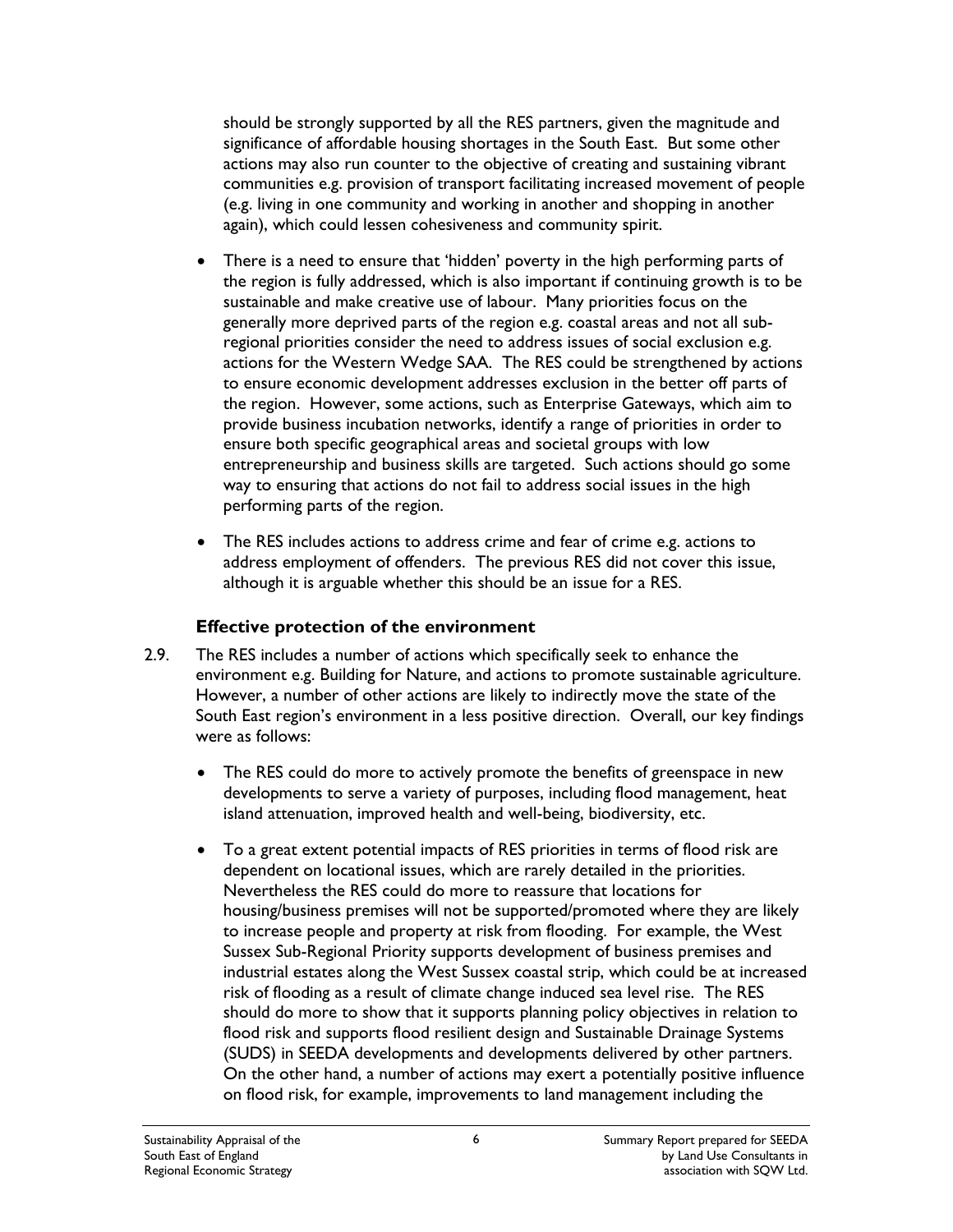should be strongly supported by all the RES partners, given the magnitude and significance of affordable housing shortages in the South East. But some other actions may also run counter to the objective of creating and sustaining vibrant communities e.g. provision of transport facilitating increased movement of people (e.g. living in one community and working in another and shopping in another again), which could lessen cohesiveness and community spirit.

- There is a need to ensure that 'hidden' poverty in the high performing parts of the region is fully addressed, which is also important if continuing growth is to be sustainable and make creative use of labour. Many priorities focus on the generally more deprived parts of the region e.g. coastal areas and not all subregional priorities consider the need to address issues of social exclusion e.g. actions for the Western Wedge SAA. The RES could be strengthened by actions to ensure economic development addresses exclusion in the better off parts of the region. However, some actions, such as Enterprise Gateways, which aim to provide business incubation networks, identify a range of priorities in order to ensure both specific geographical areas and societal groups with low entrepreneurship and business skills are targeted. Such actions should go some way to ensuring that actions do not fail to address social issues in the high performing parts of the region.
- The RES includes actions to address crime and fear of crime e.g. actions to address employment of offenders. The previous RES did not cover this issue, although it is arguable whether this should be an issue for a RES.

#### **Effective protection of the environment**

- 2.9. The RES includes a number of actions which specifically seek to enhance the environment e.g. Building for Nature, and actions to promote sustainable agriculture. However, a number of other actions are likely to indirectly move the state of the South East region's environment in a less positive direction. Overall, our key findings were as follows:
	- The RES could do more to actively promote the benefits of greenspace in new developments to serve a variety of purposes, including flood management, heat island attenuation, improved health and well-being, biodiversity, etc.
	- To a great extent potential impacts of RES priorities in terms of flood risk are dependent on locational issues, which are rarely detailed in the priorities. Nevertheless the RES could do more to reassure that locations for housing/business premises will not be supported/promoted where they are likely to increase people and property at risk from flooding. For example, the West Sussex Sub-Regional Priority supports development of business premises and industrial estates along the West Sussex coastal strip, which could be at increased risk of flooding as a result of climate change induced sea level rise. The RES should do more to show that it supports planning policy objectives in relation to flood risk and supports flood resilient design and Sustainable Drainage Systems (SUDS) in SEEDA developments and developments delivered by other partners. On the other hand, a number of actions may exert a potentially positive influence on flood risk, for example, improvements to land management including the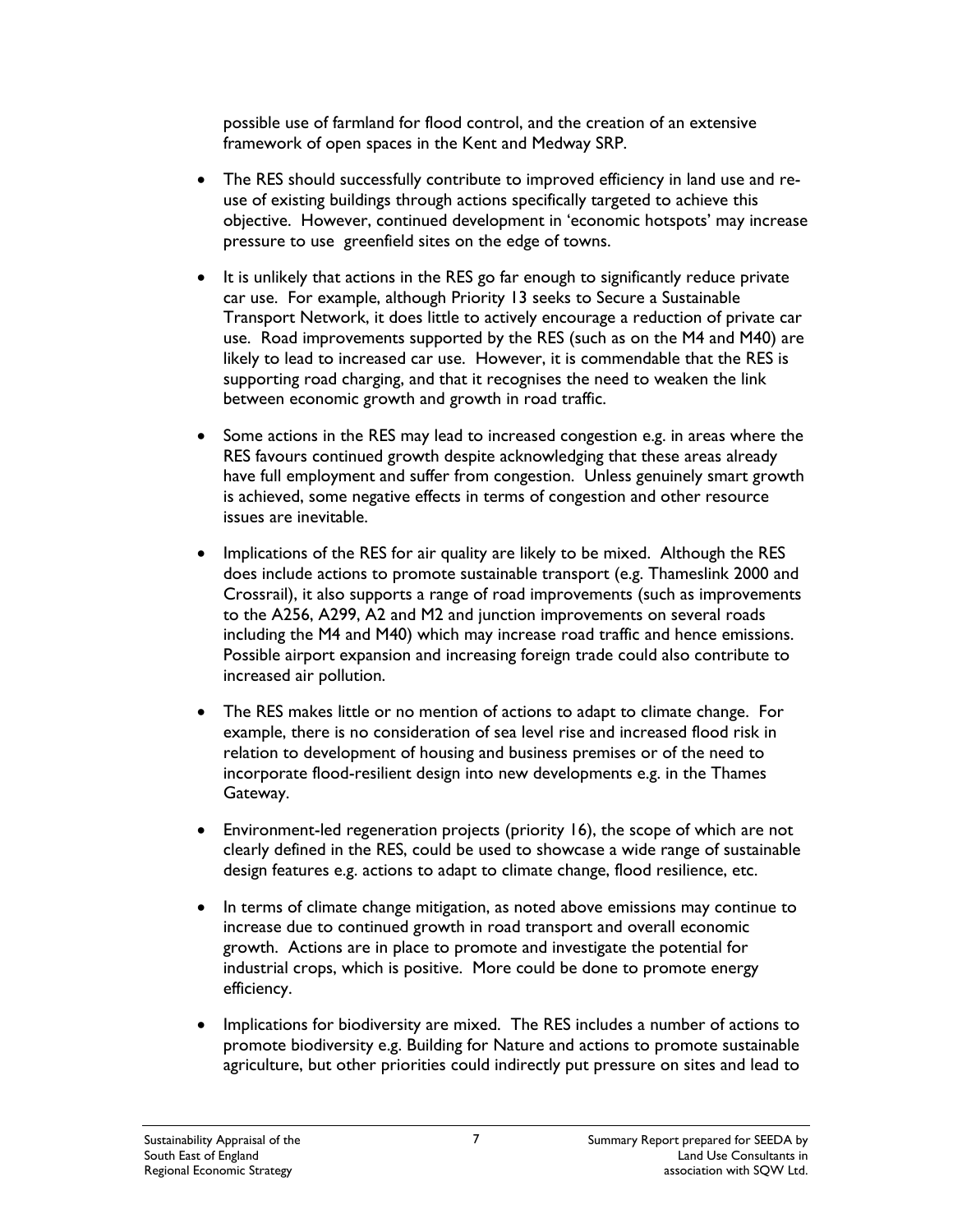possible use of farmland for flood control, and the creation of an extensive framework of open spaces in the Kent and Medway SRP.

- The RES should successfully contribute to improved efficiency in land use and reuse of existing buildings through actions specifically targeted to achieve this objective. However, continued development in 'economic hotspots' may increase pressure to use greenfield sites on the edge of towns.
- It is unlikely that actions in the RES go far enough to significantly reduce private car use. For example, although Priority 13 seeks to Secure a Sustainable Transport Network, it does little to actively encourage a reduction of private car use. Road improvements supported by the RES (such as on the M4 and M40) are likely to lead to increased car use. However, it is commendable that the RES is supporting road charging, and that it recognises the need to weaken the link between economic growth and growth in road traffic.
- Some actions in the RES may lead to increased congestion e.g. in areas where the RES favours continued growth despite acknowledging that these areas already have full employment and suffer from congestion. Unless genuinely smart growth is achieved, some negative effects in terms of congestion and other resource issues are inevitable.
- Implications of the RES for air quality are likely to be mixed. Although the RES does include actions to promote sustainable transport (e.g. Thameslink 2000 and Crossrail), it also supports a range of road improvements (such as improvements to the A256, A299, A2 and M2 and junction improvements on several roads including the M4 and M40) which may increase road traffic and hence emissions. Possible airport expansion and increasing foreign trade could also contribute to increased air pollution.
- The RES makes little or no mention of actions to adapt to climate change. For example, there is no consideration of sea level rise and increased flood risk in relation to development of housing and business premises or of the need to incorporate flood-resilient design into new developments e.g. in the Thames Gateway.
- Environment-led regeneration projects (priority 16), the scope of which are not clearly defined in the RES, could be used to showcase a wide range of sustainable design features e.g. actions to adapt to climate change, flood resilience, etc.
- In terms of climate change mitigation, as noted above emissions may continue to increase due to continued growth in road transport and overall economic growth. Actions are in place to promote and investigate the potential for industrial crops, which is positive. More could be done to promote energy efficiency.
- Implications for biodiversity are mixed. The RES includes a number of actions to promote biodiversity e.g. Building for Nature and actions to promote sustainable agriculture, but other priorities could indirectly put pressure on sites and lead to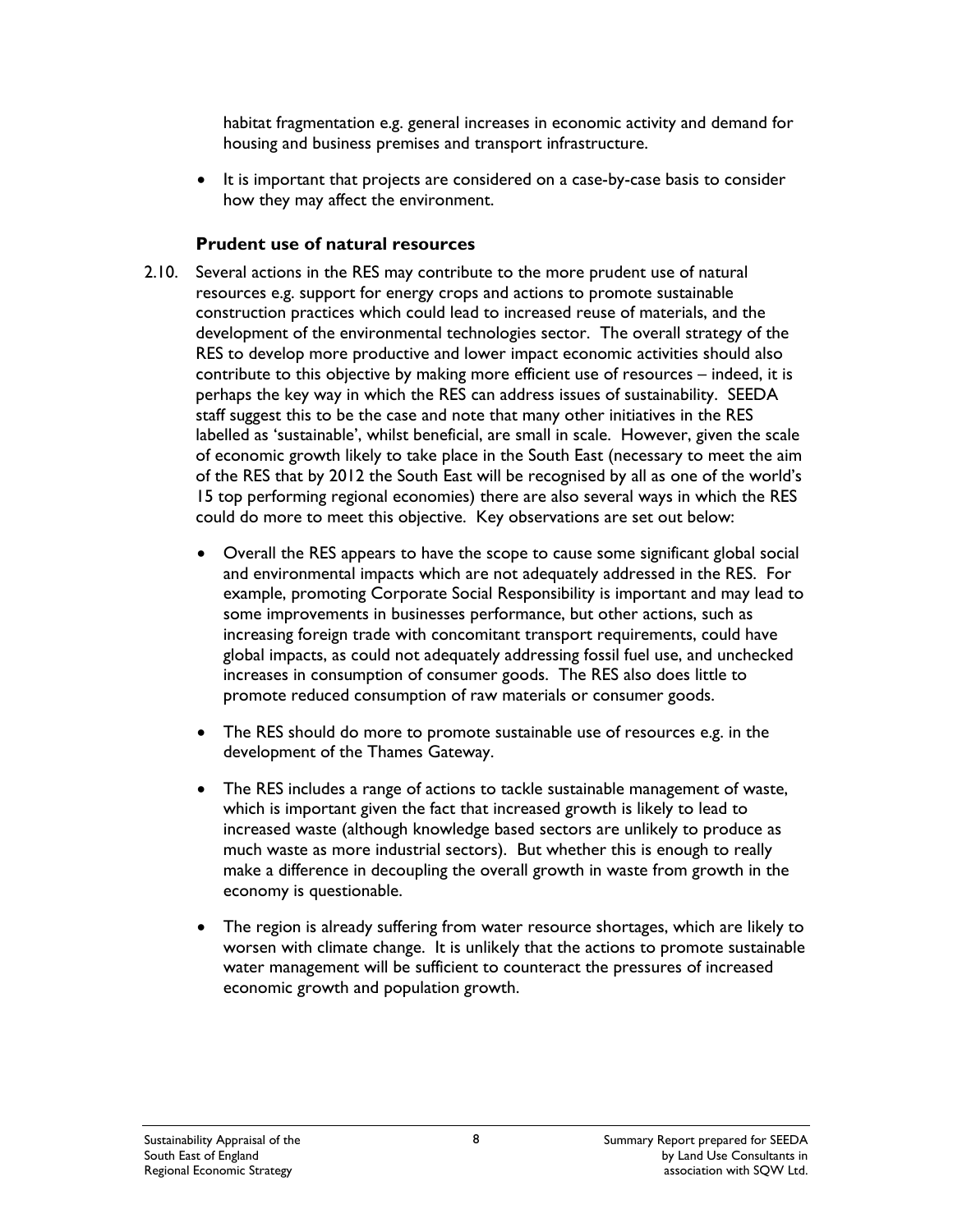habitat fragmentation e.g. general increases in economic activity and demand for housing and business premises and transport infrastructure.

• It is important that projects are considered on a case-by-case basis to consider how they may affect the environment.

#### **Prudent use of natural resources**

- 2.10. Several actions in the RES may contribute to the more prudent use of natural resources e.g. support for energy crops and actions to promote sustainable construction practices which could lead to increased reuse of materials, and the development of the environmental technologies sector. The overall strategy of the RES to develop more productive and lower impact economic activities should also contribute to this objective by making more efficient use of resources – indeed, it is perhaps the key way in which the RES can address issues of sustainability. SEEDA staff suggest this to be the case and note that many other initiatives in the RES labelled as 'sustainable', whilst beneficial, are small in scale. However, given the scale of economic growth likely to take place in the South East (necessary to meet the aim of the RES that by 2012 the South East will be recognised by all as one of the world's 15 top performing regional economies) there are also several ways in which the RES could do more to meet this objective. Key observations are set out below:
	- Overall the RES appears to have the scope to cause some significant global social and environmental impacts which are not adequately addressed in the RES. For example, promoting Corporate Social Responsibility is important and may lead to some improvements in businesses performance, but other actions, such as increasing foreign trade with concomitant transport requirements, could have global impacts, as could not adequately addressing fossil fuel use, and unchecked increases in consumption of consumer goods. The RES also does little to promote reduced consumption of raw materials or consumer goods.
	- The RES should do more to promote sustainable use of resources e.g. in the development of the Thames Gateway.
	- The RES includes a range of actions to tackle sustainable management of waste, which is important given the fact that increased growth is likely to lead to increased waste (although knowledge based sectors are unlikely to produce as much waste as more industrial sectors). But whether this is enough to really make a difference in decoupling the overall growth in waste from growth in the economy is questionable.
	- The region is already suffering from water resource shortages, which are likely to worsen with climate change. It is unlikely that the actions to promote sustainable water management will be sufficient to counteract the pressures of increased economic growth and population growth.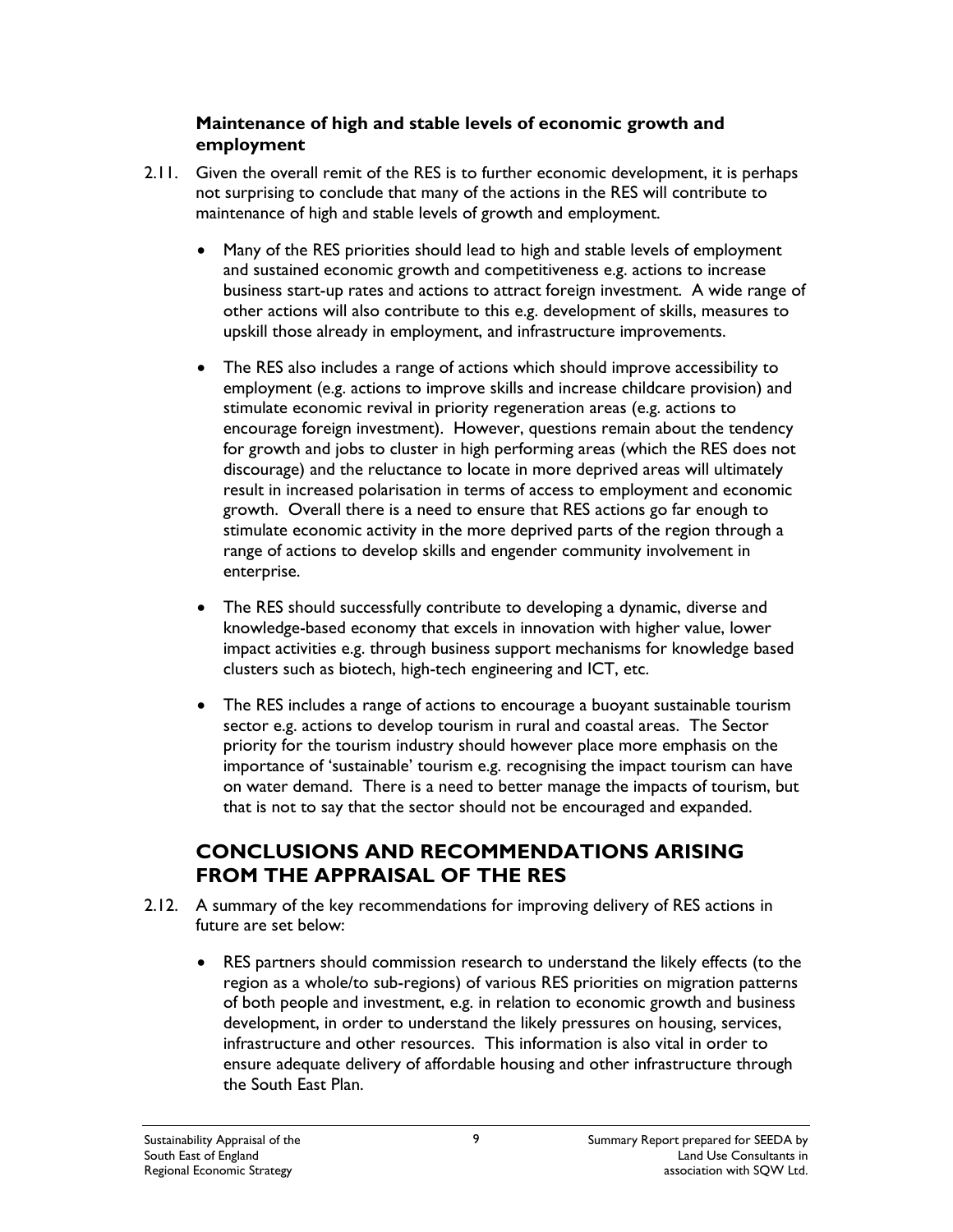#### **Maintenance of high and stable levels of economic growth and employment**

- 2.11. Given the overall remit of the RES is to further economic development, it is perhaps not surprising to conclude that many of the actions in the RES will contribute to maintenance of high and stable levels of growth and employment.
	- Many of the RES priorities should lead to high and stable levels of employment and sustained economic growth and competitiveness e.g. actions to increase business start-up rates and actions to attract foreign investment. A wide range of other actions will also contribute to this e.g. development of skills, measures to upskill those already in employment, and infrastructure improvements.
	- The RES also includes a range of actions which should improve accessibility to employment (e.g. actions to improve skills and increase childcare provision) and stimulate economic revival in priority regeneration areas (e.g. actions to encourage foreign investment). However, questions remain about the tendency for growth and jobs to cluster in high performing areas (which the RES does not discourage) and the reluctance to locate in more deprived areas will ultimately result in increased polarisation in terms of access to employment and economic growth. Overall there is a need to ensure that RES actions go far enough to stimulate economic activity in the more deprived parts of the region through a range of actions to develop skills and engender community involvement in enterprise.
	- The RES should successfully contribute to developing a dynamic, diverse and knowledge-based economy that excels in innovation with higher value, lower impact activities e.g. through business support mechanisms for knowledge based clusters such as biotech, high-tech engineering and ICT, etc.
	- The RES includes a range of actions to encourage a buoyant sustainable tourism sector e.g. actions to develop tourism in rural and coastal areas. The Sector priority for the tourism industry should however place more emphasis on the importance of 'sustainable' tourism e.g. recognising the impact tourism can have on water demand. There is a need to better manage the impacts of tourism, but that is not to say that the sector should not be encouraged and expanded.

### **CONCLUSIONS AND RECOMMENDATIONS ARISING FROM THE APPRAISAL OF THE RES**

- 2.12. A summary of the key recommendations for improving delivery of RES actions in future are set below:
	- RES partners should commission research to understand the likely effects (to the region as a whole/to sub-regions) of various RES priorities on migration patterns of both people and investment, e.g. in relation to economic growth and business development, in order to understand the likely pressures on housing, services, infrastructure and other resources. This information is also vital in order to ensure adequate delivery of affordable housing and other infrastructure through the South East Plan.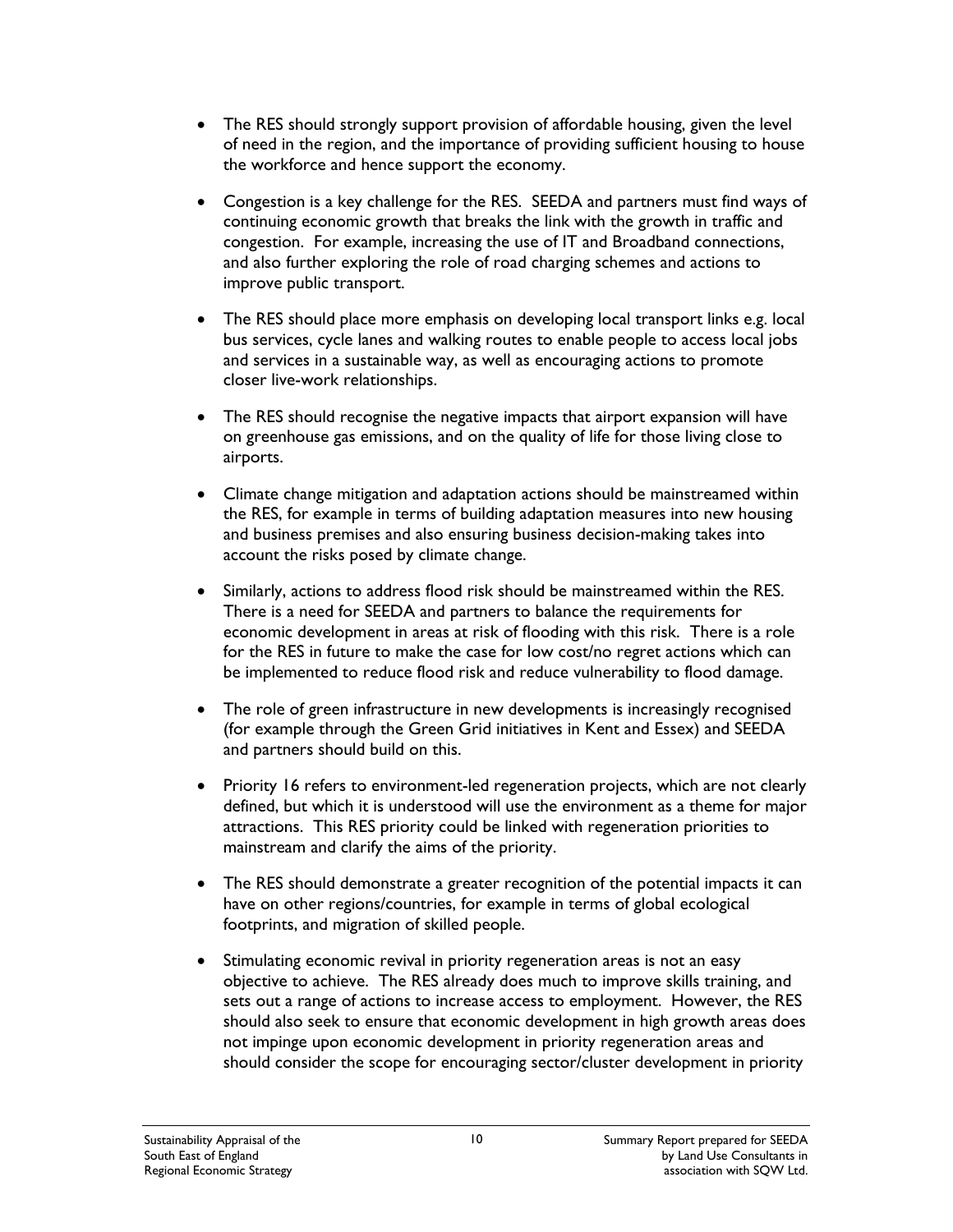- The RES should strongly support provision of affordable housing, given the level of need in the region, and the importance of providing sufficient housing to house the workforce and hence support the economy.
- Congestion is a key challenge for the RES. SEEDA and partners must find ways of continuing economic growth that breaks the link with the growth in traffic and congestion. For example, increasing the use of IT and Broadband connections, and also further exploring the role of road charging schemes and actions to improve public transport.
- The RES should place more emphasis on developing local transport links e.g. local bus services, cycle lanes and walking routes to enable people to access local jobs and services in a sustainable way, as well as encouraging actions to promote closer live-work relationships.
- The RES should recognise the negative impacts that airport expansion will have on greenhouse gas emissions, and on the quality of life for those living close to airports.
- Climate change mitigation and adaptation actions should be mainstreamed within the RES, for example in terms of building adaptation measures into new housing and business premises and also ensuring business decision-making takes into account the risks posed by climate change.
- Similarly, actions to address flood risk should be mainstreamed within the RES. There is a need for SEEDA and partners to balance the requirements for economic development in areas at risk of flooding with this risk. There is a role for the RES in future to make the case for low cost/no regret actions which can be implemented to reduce flood risk and reduce vulnerability to flood damage.
- The role of green infrastructure in new developments is increasingly recognised (for example through the Green Grid initiatives in Kent and Essex) and SEEDA and partners should build on this.
- Priority 16 refers to environment-led regeneration projects, which are not clearly defined, but which it is understood will use the environment as a theme for major attractions. This RES priority could be linked with regeneration priorities to mainstream and clarify the aims of the priority.
- The RES should demonstrate a greater recognition of the potential impacts it can have on other regions/countries, for example in terms of global ecological footprints, and migration of skilled people.
- Stimulating economic revival in priority regeneration areas is not an easy objective to achieve. The RES already does much to improve skills training, and sets out a range of actions to increase access to employment. However, the RES should also seek to ensure that economic development in high growth areas does not impinge upon economic development in priority regeneration areas and should consider the scope for encouraging sector/cluster development in priority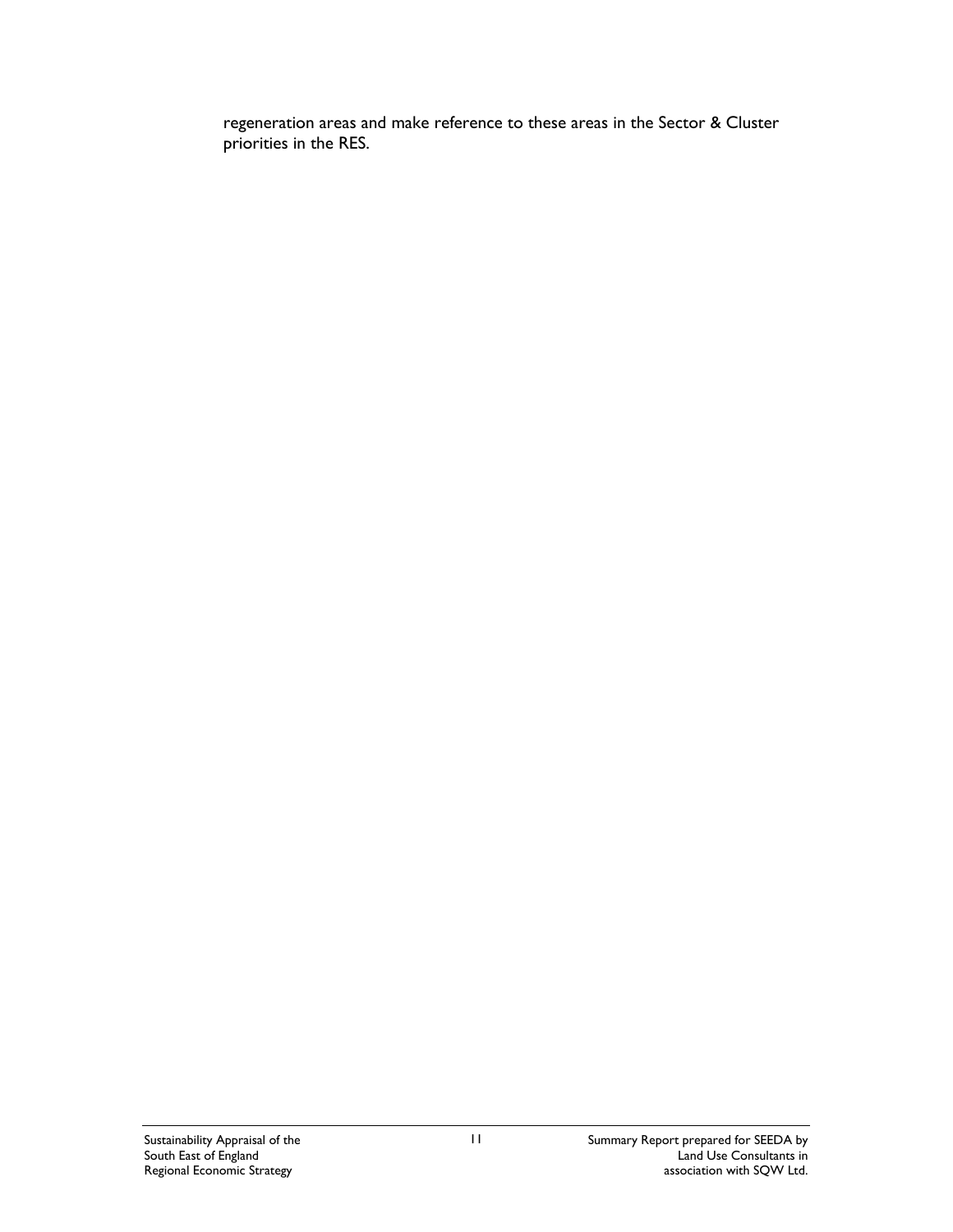regeneration areas and make reference to these areas in the Sector & Cluster priorities in the RES.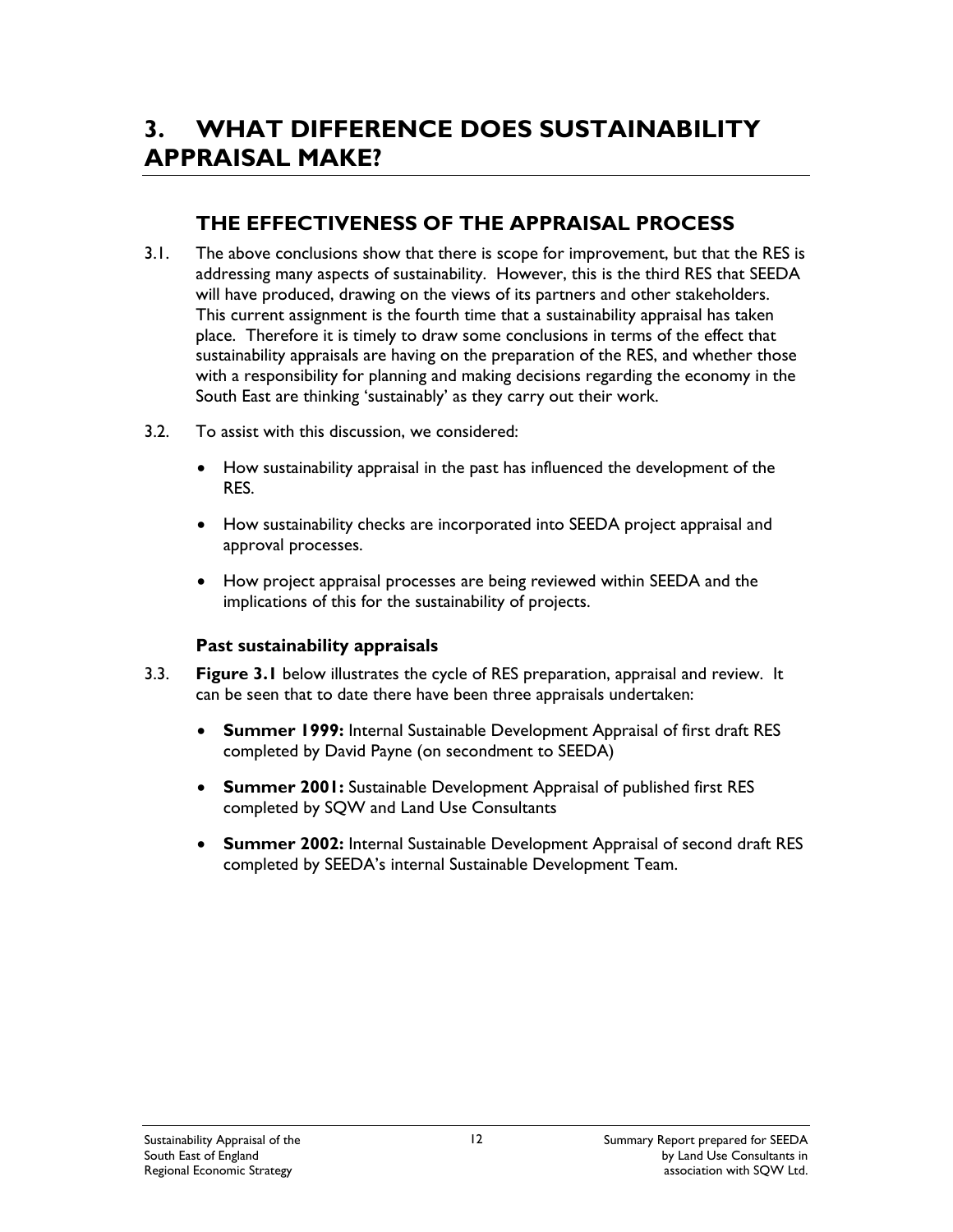# **3. WHAT DIFFERENCE DOES SUSTAINABILITY APPRAISAL MAKE?**

## **THE EFFECTIVENESS OF THE APPRAISAL PROCESS**

- 3.1. The above conclusions show that there is scope for improvement, but that the RES is addressing many aspects of sustainability. However, this is the third RES that SEEDA will have produced, drawing on the views of its partners and other stakeholders. This current assignment is the fourth time that a sustainability appraisal has taken place. Therefore it is timely to draw some conclusions in terms of the effect that sustainability appraisals are having on the preparation of the RES, and whether those with a responsibility for planning and making decisions regarding the economy in the South East are thinking 'sustainably' as they carry out their work.
- 3.2. To assist with this discussion, we considered:
	- How sustainability appraisal in the past has influenced the development of the RES.
	- How sustainability checks are incorporated into SEEDA project appraisal and approval processes.
	- How project appraisal processes are being reviewed within SEEDA and the implications of this for the sustainability of projects.

#### **Past sustainability appraisals**

- 3.3. **Figure 3.1** below illustrates the cycle of RES preparation, appraisal and review. It can be seen that to date there have been three appraisals undertaken:
	- **Summer 1999:** Internal Sustainable Development Appraisal of first draft RES completed by David Payne (on secondment to SEEDA)
	- **Summer 2001:** Sustainable Development Appraisal of published first RES completed by SQW and Land Use Consultants
	- **Summer 2002:** Internal Sustainable Development Appraisal of second draft RES completed by SEEDA's internal Sustainable Development Team.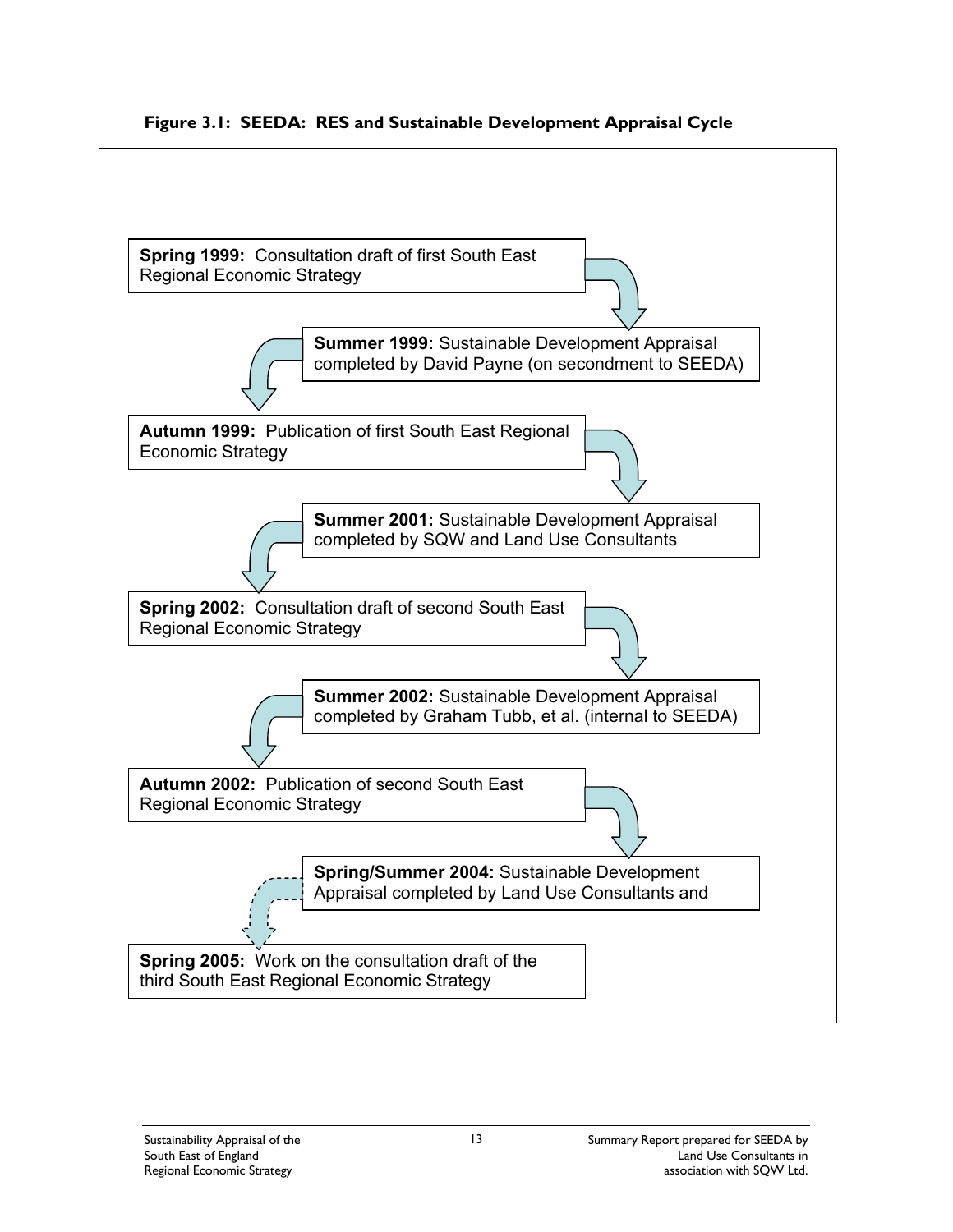

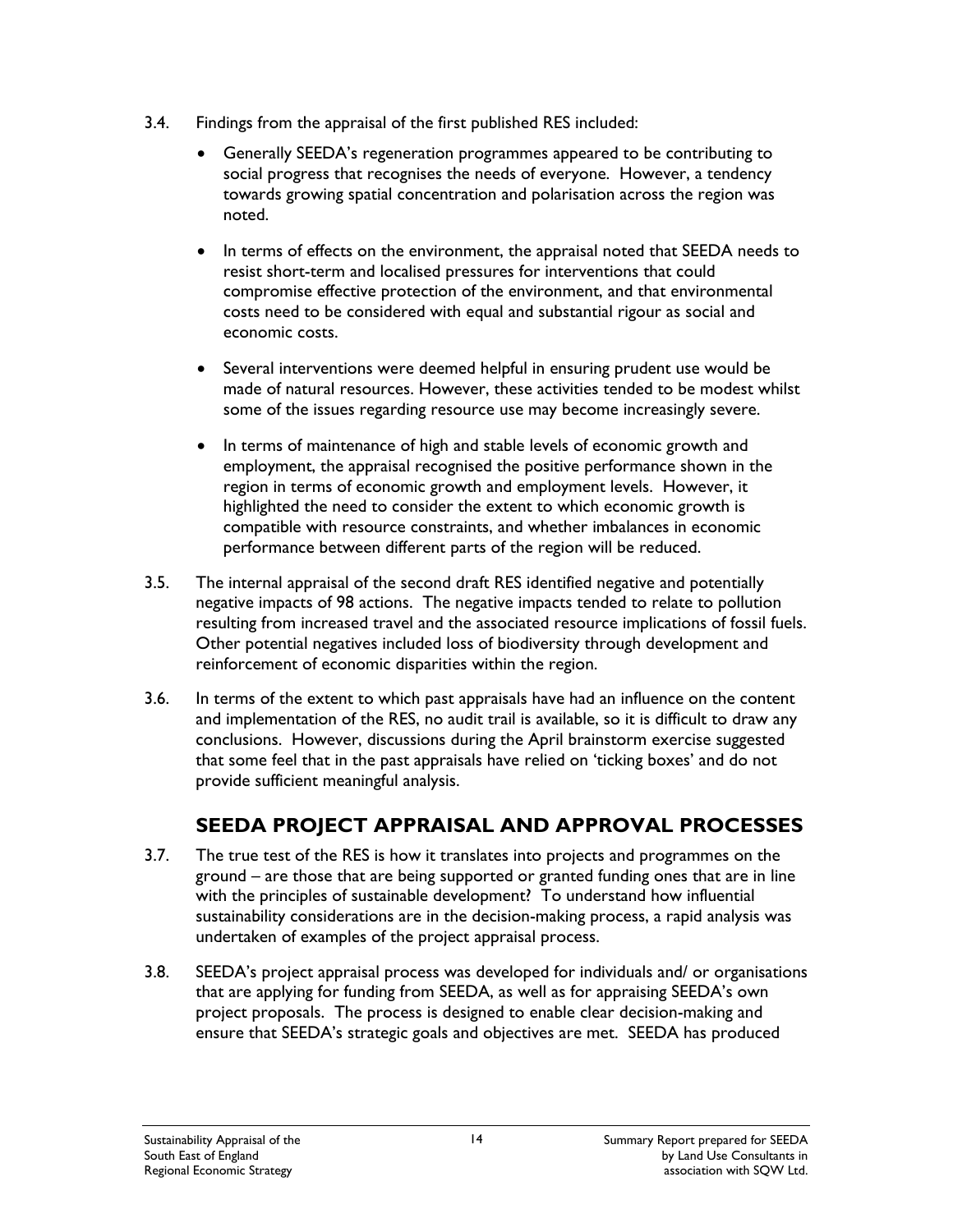- 3.4. Findings from the appraisal of the first published RES included:
	- Generally SEEDA's regeneration programmes appeared to be contributing to social progress that recognises the needs of everyone. However, a tendency towards growing spatial concentration and polarisation across the region was noted.
	- In terms of effects on the environment, the appraisal noted that SEEDA needs to resist short-term and localised pressures for interventions that could compromise effective protection of the environment, and that environmental costs need to be considered with equal and substantial rigour as social and economic costs.
	- Several interventions were deemed helpful in ensuring prudent use would be made of natural resources. However, these activities tended to be modest whilst some of the issues regarding resource use may become increasingly severe.
	- In terms of maintenance of high and stable levels of economic growth and employment, the appraisal recognised the positive performance shown in the region in terms of economic growth and employment levels. However, it highlighted the need to consider the extent to which economic growth is compatible with resource constraints, and whether imbalances in economic performance between different parts of the region will be reduced.
- 3.5. The internal appraisal of the second draft RES identified negative and potentially negative impacts of 98 actions. The negative impacts tended to relate to pollution resulting from increased travel and the associated resource implications of fossil fuels. Other potential negatives included loss of biodiversity through development and reinforcement of economic disparities within the region.
- 3.6. In terms of the extent to which past appraisals have had an influence on the content and implementation of the RES, no audit trail is available, so it is difficult to draw any conclusions. However, discussions during the April brainstorm exercise suggested that some feel that in the past appraisals have relied on 'ticking boxes' and do not provide sufficient meaningful analysis.

## **SEEDA PROJECT APPRAISAL AND APPROVAL PROCESSES**

- 3.7. The true test of the RES is how it translates into projects and programmes on the ground – are those that are being supported or granted funding ones that are in line with the principles of sustainable development? To understand how influential sustainability considerations are in the decision-making process, a rapid analysis was undertaken of examples of the project appraisal process.
- 3.8. SEEDA's project appraisal process was developed for individuals and/ or organisations that are applying for funding from SEEDA, as well as for appraising SEEDA's own project proposals. The process is designed to enable clear decision-making and ensure that SEEDA's strategic goals and objectives are met. SEEDA has produced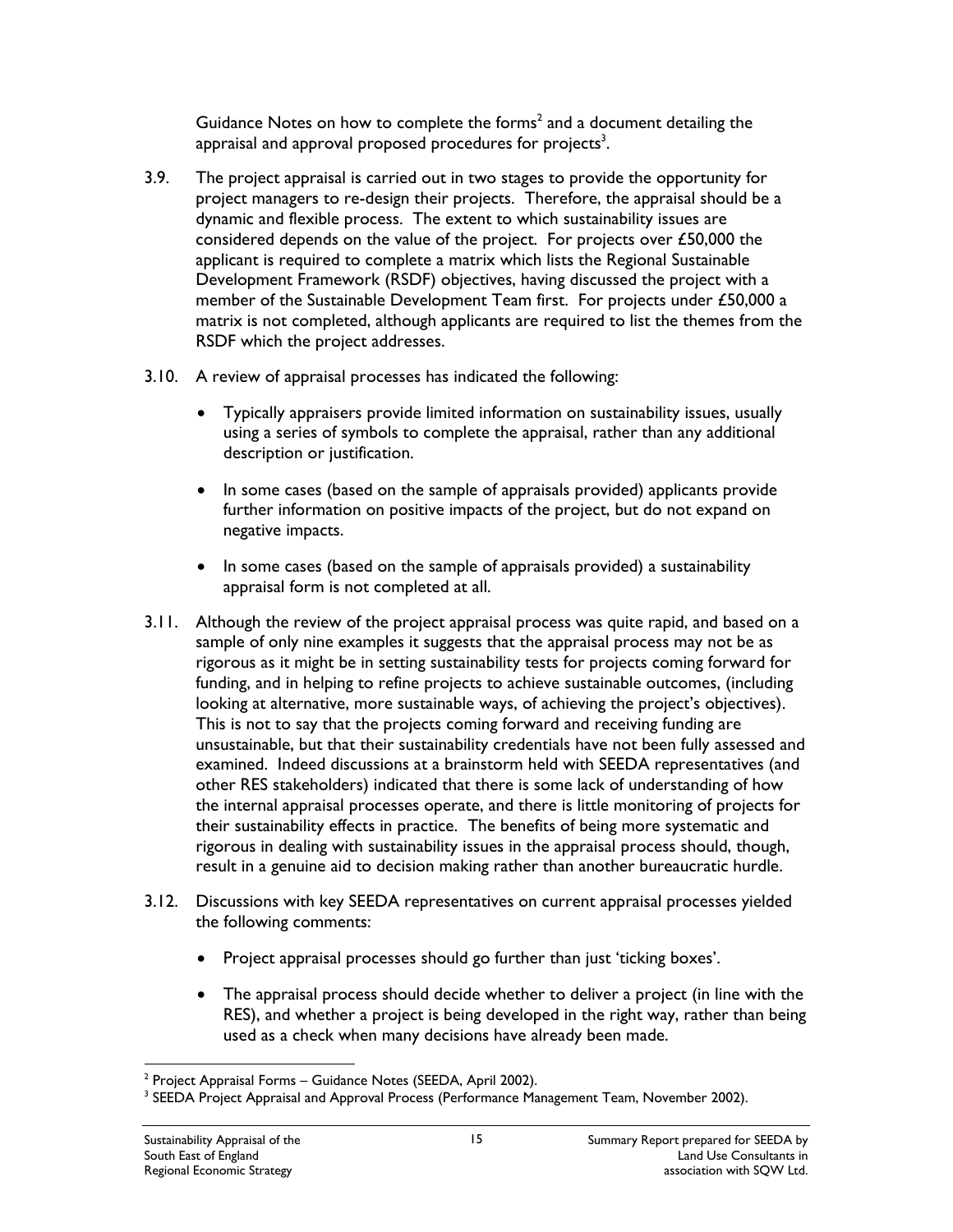Guidance Notes on how to complete the forms<sup>2</sup> and a document detailing the appraisal and approval proposed procedures for projects<sup>3</sup>.

- 3.9. The project appraisal is carried out in two stages to provide the opportunity for project managers to re-design their projects. Therefore, the appraisal should be a dynamic and flexible process. The extent to which sustainability issues are considered depends on the value of the project. For projects over £50,000 the applicant is required to complete a matrix which lists the Regional Sustainable Development Framework (RSDF) objectives, having discussed the project with a member of the Sustainable Development Team first. For projects under £50,000 a matrix is not completed, although applicants are required to list the themes from the RSDF which the project addresses.
- 3.10. A review of appraisal processes has indicated the following:
	- Typically appraisers provide limited information on sustainability issues, usually using a series of symbols to complete the appraisal, rather than any additional description or justification.
	- In some cases (based on the sample of appraisals provided) applicants provide further information on positive impacts of the project, but do not expand on negative impacts.
	- In some cases (based on the sample of appraisals provided) a sustainability appraisal form is not completed at all.
- 3.11. Although the review of the project appraisal process was quite rapid, and based on a sample of only nine examples it suggests that the appraisal process may not be as rigorous as it might be in setting sustainability tests for projects coming forward for funding, and in helping to refine projects to achieve sustainable outcomes, (including looking at alternative, more sustainable ways, of achieving the project's objectives). This is not to say that the projects coming forward and receiving funding are unsustainable, but that their sustainability credentials have not been fully assessed and examined. Indeed discussions at a brainstorm held with SEEDA representatives (and other RES stakeholders) indicated that there is some lack of understanding of how the internal appraisal processes operate, and there is little monitoring of projects for their sustainability effects in practice. The benefits of being more systematic and rigorous in dealing with sustainability issues in the appraisal process should, though, result in a genuine aid to decision making rather than another bureaucratic hurdle.
- 3.12. Discussions with key SEEDA representatives on current appraisal processes yielded the following comments:
	- Project appraisal processes should go further than just 'ticking boxes'.
	- The appraisal process should decide whether to deliver a project (in line with the RES), and whether a project is being developed in the right way, rather than being used as a check when many decisions have already been made.

 $\overline{a}$  $2$  Project Appraisal Forms – Guidance Notes (SEEDA, April 2002).

<sup>&</sup>lt;sup>3</sup> SEEDA Project Appraisal and Approval Process (Performance Management Team, November 2002).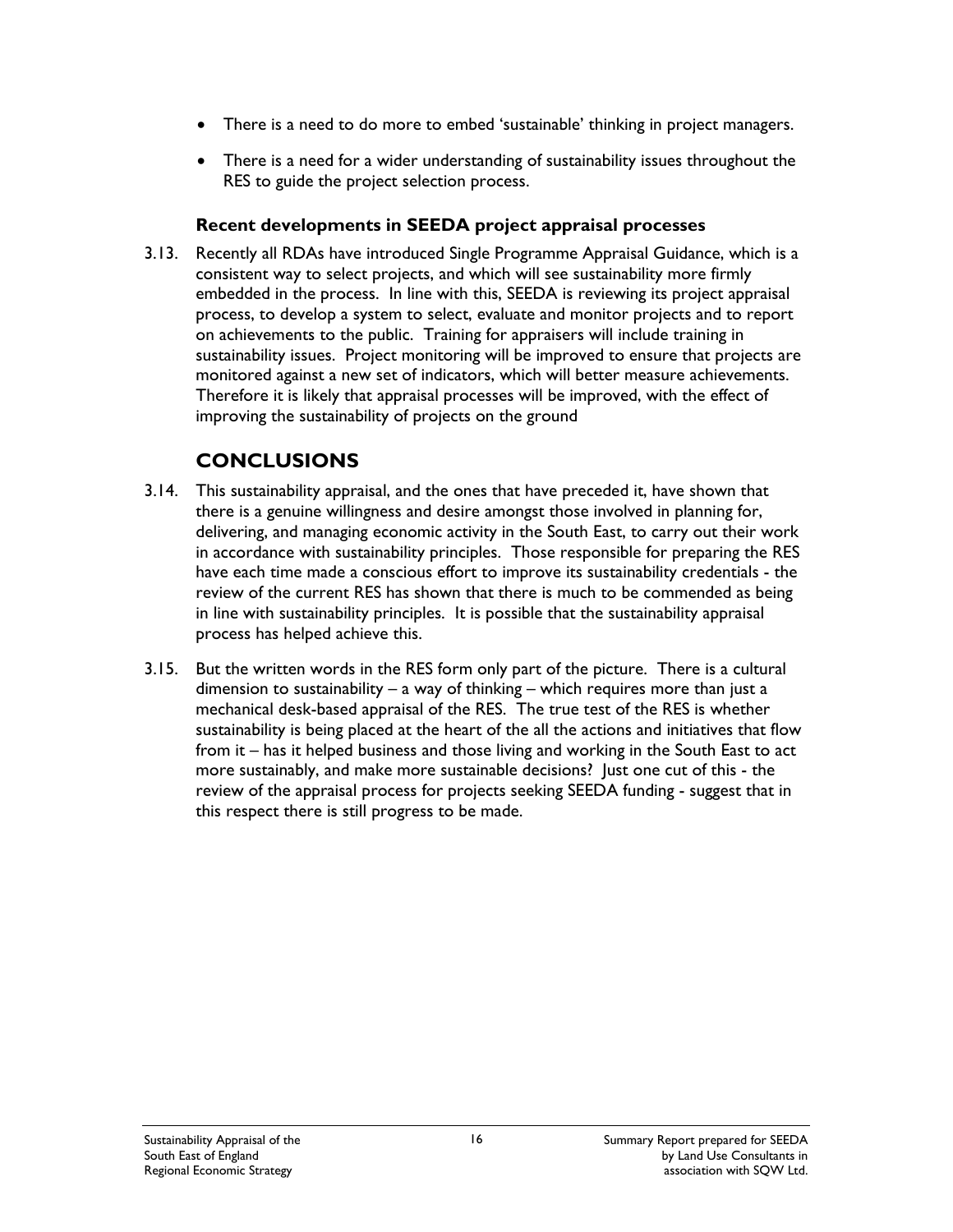- There is a need to do more to embed 'sustainable' thinking in project managers.
- There is a need for a wider understanding of sustainability issues throughout the RES to guide the project selection process.

#### **Recent developments in SEEDA project appraisal processes**

3.13. Recently all RDAs have introduced Single Programme Appraisal Guidance, which is a consistent way to select projects, and which will see sustainability more firmly embedded in the process. In line with this, SEEDA is reviewing its project appraisal process, to develop a system to select, evaluate and monitor projects and to report on achievements to the public. Training for appraisers will include training in sustainability issues. Project monitoring will be improved to ensure that projects are monitored against a new set of indicators, which will better measure achievements. Therefore it is likely that appraisal processes will be improved, with the effect of improving the sustainability of projects on the ground

## **CONCLUSIONS**

- 3.14. This sustainability appraisal, and the ones that have preceded it, have shown that there is a genuine willingness and desire amongst those involved in planning for, delivering, and managing economic activity in the South East, to carry out their work in accordance with sustainability principles. Those responsible for preparing the RES have each time made a conscious effort to improve its sustainability credentials - the review of the current RES has shown that there is much to be commended as being in line with sustainability principles. It is possible that the sustainability appraisal process has helped achieve this.
- 3.15. But the written words in the RES form only part of the picture. There is a cultural dimension to sustainability – a way of thinking – which requires more than just a mechanical desk-based appraisal of the RES. The true test of the RES is whether sustainability is being placed at the heart of the all the actions and initiatives that flow from it – has it helped business and those living and working in the South East to act more sustainably, and make more sustainable decisions? Just one cut of this - the review of the appraisal process for projects seeking SEEDA funding - suggest that in this respect there is still progress to be made.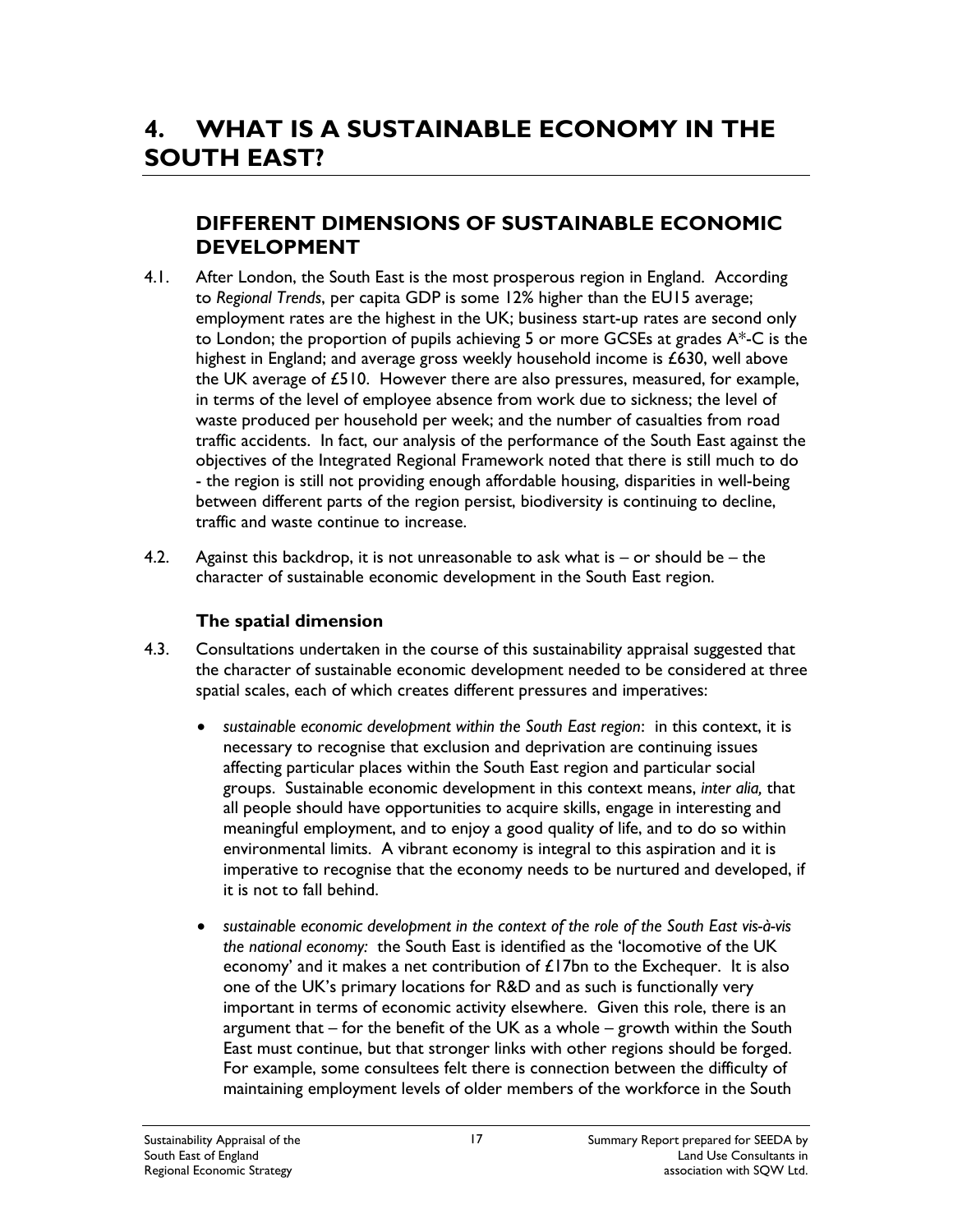### **DIFFERENT DIMENSIONS OF SUSTAINABLE ECONOMIC DEVELOPMENT**

- 4.1. After London, the South East is the most prosperous region in England. According to *Regional Trends*, per capita GDP is some 12% higher than the EU15 average; employment rates are the highest in the UK; business start-up rates are second only to London; the proportion of pupils achieving 5 or more GCSEs at grades  $A^*$ -C is the highest in England; and average gross weekly household income is £630, well above the UK average of £510. However there are also pressures, measured, for example, in terms of the level of employee absence from work due to sickness; the level of waste produced per household per week; and the number of casualties from road traffic accidents. In fact, our analysis of the performance of the South East against the objectives of the Integrated Regional Framework noted that there is still much to do - the region is still not providing enough affordable housing, disparities in well-being between different parts of the region persist, biodiversity is continuing to decline, traffic and waste continue to increase.
- 4.2. Against this backdrop, it is not unreasonable to ask what is  $-$  or should be  $-$  the character of sustainable economic development in the South East region.

#### **The spatial dimension**

- 4.3. Consultations undertaken in the course of this sustainability appraisal suggested that the character of sustainable economic development needed to be considered at three spatial scales, each of which creates different pressures and imperatives:
	- *sustainable economic development within the South East region*: in this context, it is necessary to recognise that exclusion and deprivation are continuing issues affecting particular places within the South East region and particular social groups. Sustainable economic development in this context means, *inter alia,* that all people should have opportunities to acquire skills, engage in interesting and meaningful employment, and to enjoy a good quality of life, and to do so within environmental limits. A vibrant economy is integral to this aspiration and it is imperative to recognise that the economy needs to be nurtured and developed, if it is not to fall behind.
	- *sustainable economic development in the context of the role of the South East vis-à-vis the national economy:* the South East is identified as the 'locomotive of the UK economy' and it makes a net contribution of £17bn to the Exchequer. It is also one of the UK's primary locations for R&D and as such is functionally very important in terms of economic activity elsewhere. Given this role, there is an argument that – for the benefit of the UK as a whole – growth within the South East must continue, but that stronger links with other regions should be forged. For example, some consultees felt there is connection between the difficulty of maintaining employment levels of older members of the workforce in the South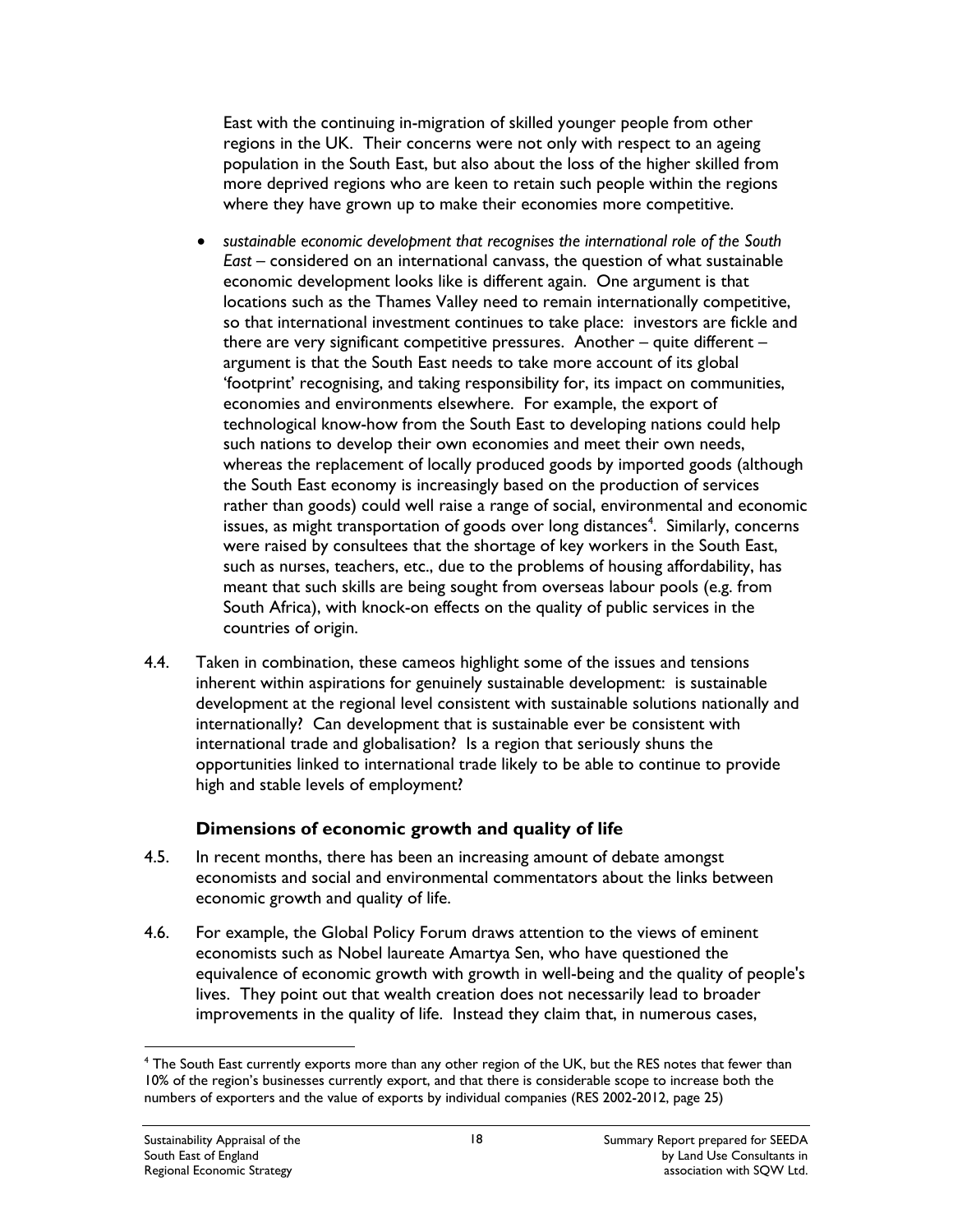East with the continuing in-migration of skilled younger people from other regions in the UK. Their concerns were not only with respect to an ageing population in the South East, but also about the loss of the higher skilled from more deprived regions who are keen to retain such people within the regions where they have grown up to make their economies more competitive.

- *sustainable economic development that recognises the international role of the South East* – considered on an international canvass, the question of what sustainable economic development looks like is different again. One argument is that locations such as the Thames Valley need to remain internationally competitive, so that international investment continues to take place: investors are fickle and there are very significant competitive pressures. Another – quite different – argument is that the South East needs to take more account of its global 'footprint' recognising, and taking responsibility for, its impact on communities, economies and environments elsewhere. For example, the export of technological know-how from the South East to developing nations could help such nations to develop their own economies and meet their own needs, whereas the replacement of locally produced goods by imported goods (although the South East economy is increasingly based on the production of services rather than goods) could well raise a range of social, environmental and economic issues, as might transportation of goods over long distances<sup>4</sup>. Similarly, concerns were raised by consultees that the shortage of key workers in the South East, such as nurses, teachers, etc., due to the problems of housing affordability, has meant that such skills are being sought from overseas labour pools (e.g. from South Africa), with knock-on effects on the quality of public services in the countries of origin.
- 4.4. Taken in combination, these cameos highlight some of the issues and tensions inherent within aspirations for genuinely sustainable development: is sustainable development at the regional level consistent with sustainable solutions nationally and internationally? Can development that is sustainable ever be consistent with international trade and globalisation? Is a region that seriously shuns the opportunities linked to international trade likely to be able to continue to provide high and stable levels of employment?

#### **Dimensions of economic growth and quality of life**

- 4.5. In recent months, there has been an increasing amount of debate amongst economists and social and environmental commentators about the links between economic growth and quality of life.
- 4.6. For example, the Global Policy Forum draws attention to the views of eminent economists such as Nobel laureate Amartya Sen, who have questioned the equivalence of economic growth with growth in well-being and the quality of people's lives. They point out that wealth creation does not necessarily lead to broader improvements in the quality of life. Instead they claim that, in numerous cases,

 $\overline{a}$ 

<sup>4</sup> The South East currently exports more than any other region of the UK, but the RES notes that fewer than 10% of the region's businesses currently export, and that there is considerable scope to increase both the numbers of exporters and the value of exports by individual companies (RES 2002-2012, page 25)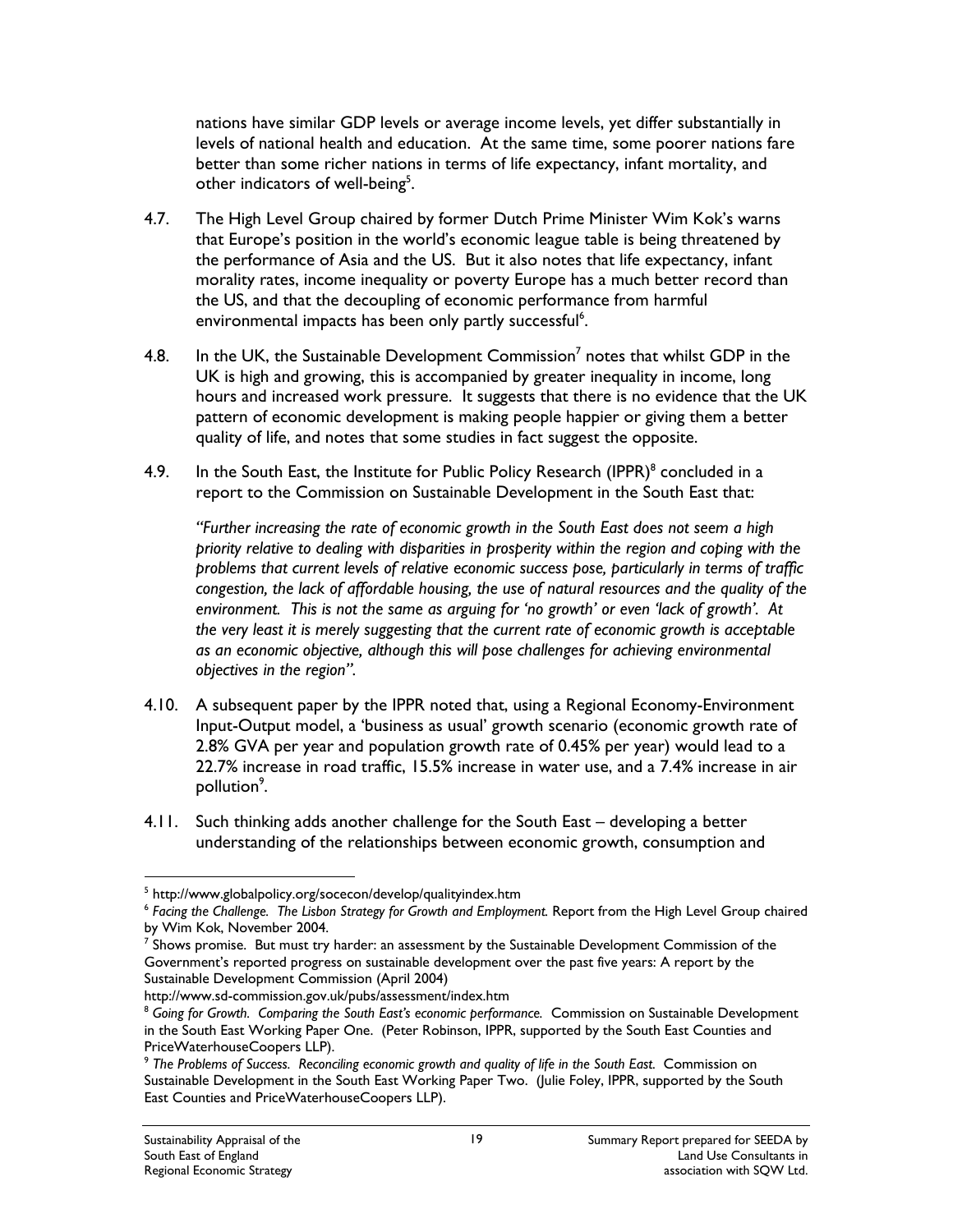nations have similar GDP levels or average income levels, yet differ substantially in levels of national health and education. At the same time, some poorer nations fare better than some richer nations in terms of life expectancy, infant mortality, and other indicators of well-being<sup>5</sup>.

- 4.7. The High Level Group chaired by former Dutch Prime Minister Wim Kok's warns that Europe's position in the world's economic league table is being threatened by the performance of Asia and the US. But it also notes that life expectancy, infant morality rates, income inequality or poverty Europe has a much better record than the US, and that the decoupling of economic performance from harmful environmental impacts has been only partly successful<sup>6</sup>.
- 4.8. In the UK, the Sustainable Development Commission<sup>7</sup> notes that whilst GDP in the UK is high and growing, this is accompanied by greater inequality in income, long hours and increased work pressure. It suggests that there is no evidence that the UK pattern of economic development is making people happier or giving them a better quality of life, and notes that some studies in fact suggest the opposite.
- 4.9. In the South East, the Institute for Public Policy Research  $(IPPR)^8$  concluded in a report to the Commission on Sustainable Development in the South East that:

*"Further increasing the rate of economic growth in the South East does not seem a high priority relative to dealing with disparities in prosperity within the region and coping with the problems that current levels of relative economic success pose, particularly in terms of traffic congestion, the lack of affordable housing, the use of natural resources and the quality of the environment. This is not the same as arguing for 'no growth' or even 'lack of growth'. At the very least it is merely suggesting that the current rate of economic growth is acceptable as an economic objective, although this will pose challenges for achieving environmental objectives in the region".* 

- 4.10. A subsequent paper by the IPPR noted that, using a Regional Economy-Environment Input-Output model, a 'business as usual' growth scenario (economic growth rate of 2.8% GVA per year and population growth rate of 0.45% per year) would lead to a 22.7% increase in road traffic, 15.5% increase in water use, and a 7.4% increase in air pollution<sup>9</sup>.
- 4.11. Such thinking adds another challenge for the South East developing a better understanding of the relationships between economic growth, consumption and

 $\overline{a}$ 

<sup>&</sup>lt;sup>5</sup> http://www.globalpolicy.org/socecon/develop/qualityindex.htm

<sup>&</sup>lt;sup>6</sup> Facing the Challenge. The Lisbon Strategy for Growth and Employment. Report from the High Level Group chaired

by Wim Kok, November 2004.<br><sup>7</sup> Shows promise. But must try harder: an assessment by the Sustainable Development Commission of the Government's reported progress on sustainable development over the past five years: A report by the Sustainable Development Commission (April 2004)<br>http://www.sd-commission.gov.uk/pubs/assessment/index.htm

 $8$  Going for Growth. Comparing the South East's economic performance. Commission on Sustainable Development in the South East Working Paper One. (Peter Robinson, IPPR, supported by the South East Counties and PriceWaterhouseCoopers LLP).

<sup>9</sup> *The Problems of Success. Reconciling economic growth and quality of life in the South East.* Commission on Sustainable Development in the South East Working Paper Two. (Julie Foley, IPPR, supported by the South East Counties and PriceWaterhouseCoopers LLP).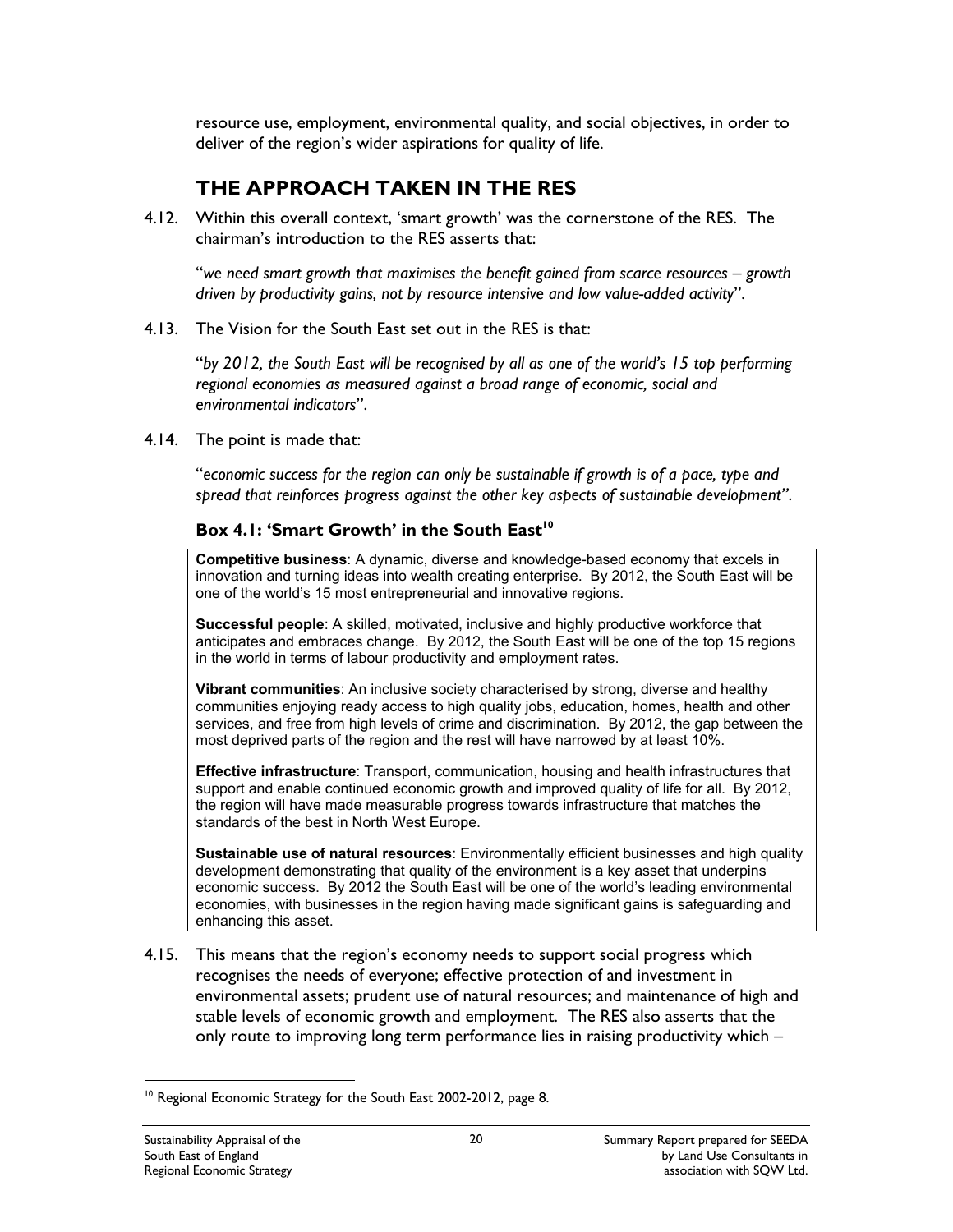resource use, employment, environmental quality, and social objectives, in order to deliver of the region's wider aspirations for quality of life.

## **THE APPROACH TAKEN IN THE RES**

4.12. Within this overall context, 'smart growth' was the cornerstone of the RES. The chairman's introduction to the RES asserts that:

"*we need smart growth that maximises the benefit gained from scarce resources – growth driven by productivity gains, not by resource intensive and low value-added activity*".

4.13. The Vision for the South East set out in the RES is that:

"*by 2012, the South East will be recognised by all as one of the world's 15 top performing regional economies as measured against a broad range of economic, social and environmental indicators*".

4.14. The point is made that:

"*economic success for the region can only be sustainable if growth is of a pace, type and spread that reinforces progress against the other key aspects of sustainable development"*.

#### **Box 4.1: 'Smart Growth' in the South East'<sup>0</sup>**

**Competitive business**: A dynamic, diverse and knowledge-based economy that excels in innovation and turning ideas into wealth creating enterprise. By 2012, the South East will be one of the world's 15 most entrepreneurial and innovative regions.

**Successful people**: A skilled, motivated, inclusive and highly productive workforce that anticipates and embraces change. By 2012, the South East will be one of the top 15 regions in the world in terms of labour productivity and employment rates.

**Vibrant communities**: An inclusive society characterised by strong, diverse and healthy communities enjoying ready access to high quality jobs, education, homes, health and other services, and free from high levels of crime and discrimination. By 2012, the gap between the most deprived parts of the region and the rest will have narrowed by at least 10%.

**Effective infrastructure**: Transport, communication, housing and health infrastructures that support and enable continued economic growth and improved quality of life for all. By 2012, the region will have made measurable progress towards infrastructure that matches the standards of the best in North West Europe.

**Sustainable use of natural resources**: Environmentally efficient businesses and high quality development demonstrating that quality of the environment is a key asset that underpins economic success. By 2012 the South East will be one of the world's leading environmental economies, with businesses in the region having made significant gains is safeguarding and enhancing this asset.

4.15. This means that the region's economy needs to support social progress which recognises the needs of everyone; effective protection of and investment in environmental assets; prudent use of natural resources; and maintenance of high and stable levels of economic growth and employment. The RES also asserts that the only route to improving long term performance lies in raising productivity which –

 $\overline{a}$ <sup>10</sup> Regional Economic Strategy for the South East 2002-2012, page 8.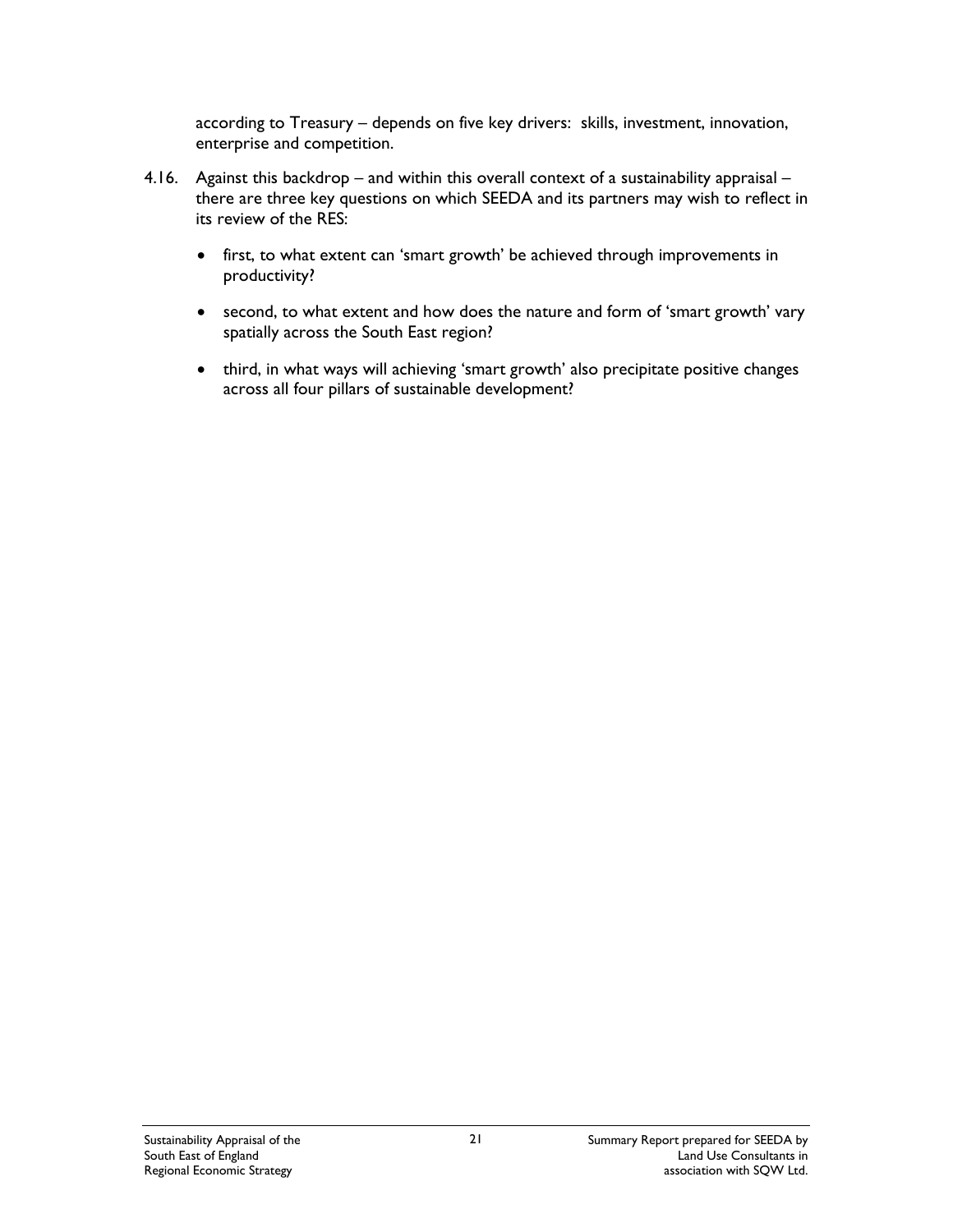according to Treasury – depends on five key drivers: skills, investment, innovation, enterprise and competition.

- 4.16. Against this backdrop and within this overall context of a sustainability appraisal there are three key questions on which SEEDA and its partners may wish to reflect in its review of the RES:
	- first, to what extent can 'smart growth' be achieved through improvements in productivity?
	- second, to what extent and how does the nature and form of 'smart growth' vary spatially across the South East region?
	- third, in what ways will achieving 'smart growth' also precipitate positive changes across all four pillars of sustainable development?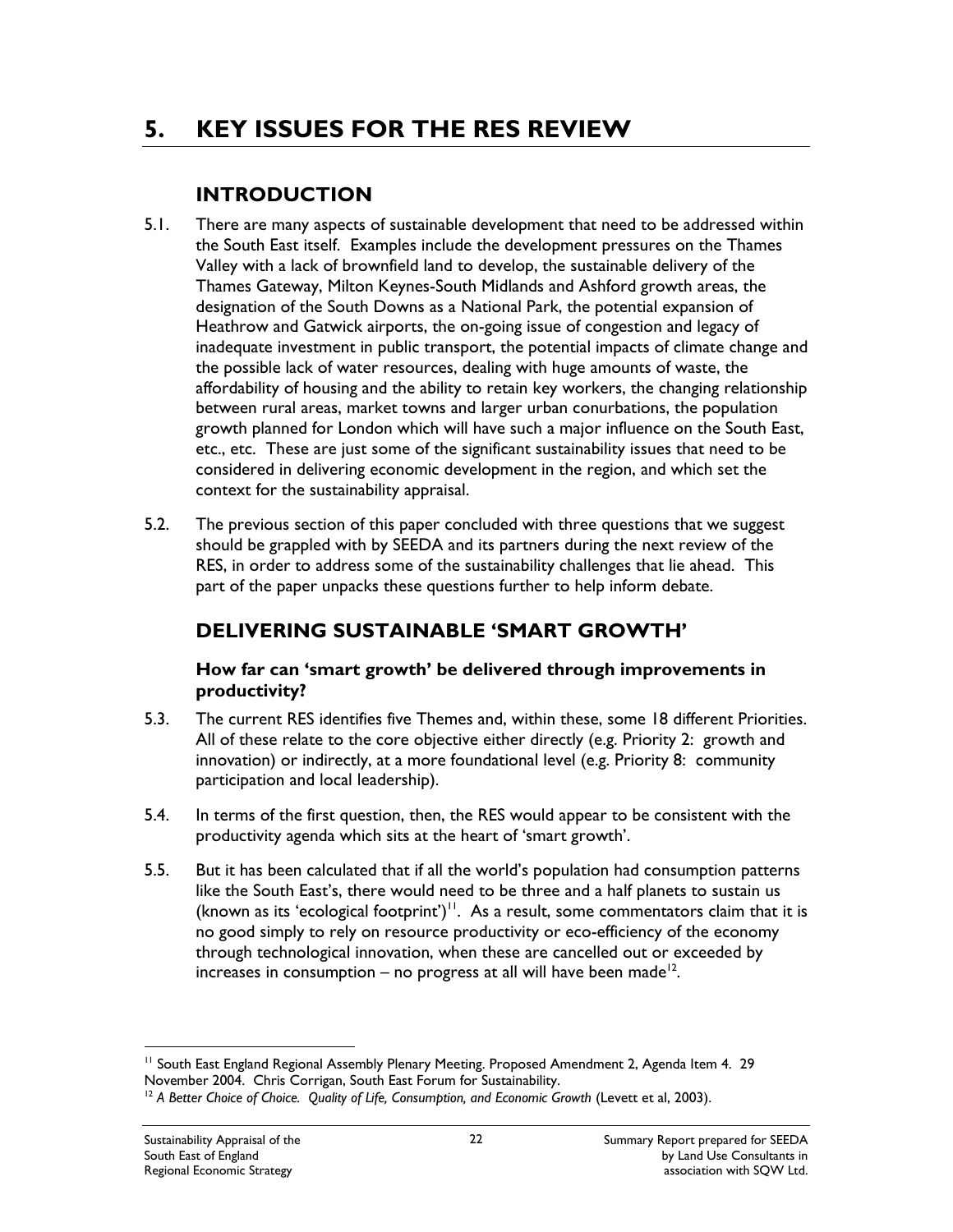# **5. KEY ISSUES FOR THE RES REVIEW**

## **INTRODUCTION**

- 5.1. There are many aspects of sustainable development that need to be addressed within the South East itself. Examples include the development pressures on the Thames Valley with a lack of brownfield land to develop, the sustainable delivery of the Thames Gateway, Milton Keynes-South Midlands and Ashford growth areas, the designation of the South Downs as a National Park, the potential expansion of Heathrow and Gatwick airports, the on-going issue of congestion and legacy of inadequate investment in public transport, the potential impacts of climate change and the possible lack of water resources, dealing with huge amounts of waste, the affordability of housing and the ability to retain key workers, the changing relationship between rural areas, market towns and larger urban conurbations, the population growth planned for London which will have such a major influence on the South East, etc., etc. These are just some of the significant sustainability issues that need to be considered in delivering economic development in the region, and which set the context for the sustainability appraisal.
- 5.2. The previous section of this paper concluded with three questions that we suggest should be grappled with by SEEDA and its partners during the next review of the RES, in order to address some of the sustainability challenges that lie ahead. This part of the paper unpacks these questions further to help inform debate.

## **DELIVERING SUSTAINABLE 'SMART GROWTH'**

#### **How far can 'smart growth' be delivered through improvements in productivity?**

- 5.3. The current RES identifies five Themes and, within these, some 18 different Priorities. All of these relate to the core objective either directly (e.g. Priority 2: growth and innovation) or indirectly, at a more foundational level (e.g. Priority 8: community participation and local leadership).
- 5.4. In terms of the first question, then, the RES would appear to be consistent with the productivity agenda which sits at the heart of 'smart growth'.
- 5.5. But it has been calculated that if all the world's population had consumption patterns like the South East's, there would need to be three and a half planets to sustain us (known as its 'ecological footprint') $11$ . As a result, some commentators claim that it is no good simply to rely on resource productivity or eco-efficiency of the economy through technological innovation, when these are cancelled out or exceeded by increases in consumption – no progress at all will have been made<sup>12</sup>.

 $\overline{a}$ 

<sup>&</sup>lt;sup>11</sup> South East England Regional Assembly Plenary Meeting. Proposed Amendment 2, Agenda Item 4. 29<br>November 2004. Chris Corrigan, South East Forum for Sustainability.

<sup>&</sup>lt;sup>12</sup> A Better Choice of Choice. Quality of Life, Consumption, and Economic Growth (Levett et al, 2003).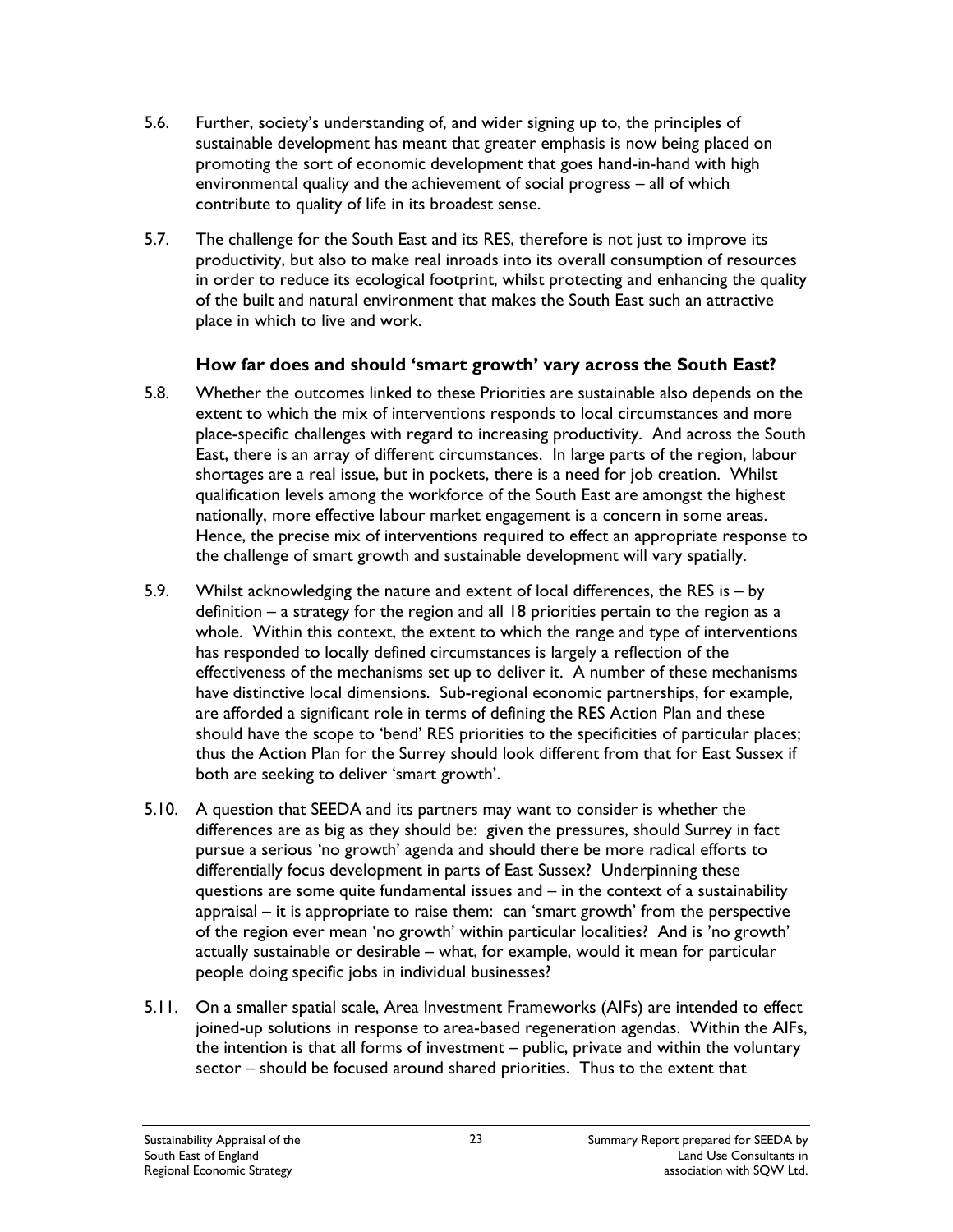- 5.6. Further, society's understanding of, and wider signing up to, the principles of sustainable development has meant that greater emphasis is now being placed on promoting the sort of economic development that goes hand-in-hand with high environmental quality and the achievement of social progress – all of which contribute to quality of life in its broadest sense.
- 5.7. The challenge for the South East and its RES, therefore is not just to improve its productivity, but also to make real inroads into its overall consumption of resources in order to reduce its ecological footprint, whilst protecting and enhancing the quality of the built and natural environment that makes the South East such an attractive place in which to live and work.

#### **How far does and should 'smart growth' vary across the South East?**

- 5.8. Whether the outcomes linked to these Priorities are sustainable also depends on the extent to which the mix of interventions responds to local circumstances and more place-specific challenges with regard to increasing productivity. And across the South East, there is an array of different circumstances. In large parts of the region, labour shortages are a real issue, but in pockets, there is a need for job creation. Whilst qualification levels among the workforce of the South East are amongst the highest nationally, more effective labour market engagement is a concern in some areas. Hence, the precise mix of interventions required to effect an appropriate response to the challenge of smart growth and sustainable development will vary spatially.
- 5.9. Whilst acknowledging the nature and extent of local differences, the RES is by definition – a strategy for the region and all 18 priorities pertain to the region as a whole. Within this context, the extent to which the range and type of interventions has responded to locally defined circumstances is largely a reflection of the effectiveness of the mechanisms set up to deliver it. A number of these mechanisms have distinctive local dimensions. Sub-regional economic partnerships, for example, are afforded a significant role in terms of defining the RES Action Plan and these should have the scope to 'bend' RES priorities to the specificities of particular places; thus the Action Plan for the Surrey should look different from that for East Sussex if both are seeking to deliver 'smart growth'.
- 5.10. A question that SEEDA and its partners may want to consider is whether the differences are as big as they should be: given the pressures, should Surrey in fact pursue a serious 'no growth' agenda and should there be more radical efforts to differentially focus development in parts of East Sussex? Underpinning these questions are some quite fundamental issues and – in the context of a sustainability appraisal – it is appropriate to raise them: can 'smart growth' from the perspective of the region ever mean 'no growth' within particular localities? And is 'no growth' actually sustainable or desirable – what, for example, would it mean for particular people doing specific jobs in individual businesses?
- 5.11. On a smaller spatial scale, Area Investment Frameworks (AIFs) are intended to effect joined-up solutions in response to area-based regeneration agendas. Within the AIFs, the intention is that all forms of investment – public, private and within the voluntary sector – should be focused around shared priorities. Thus to the extent that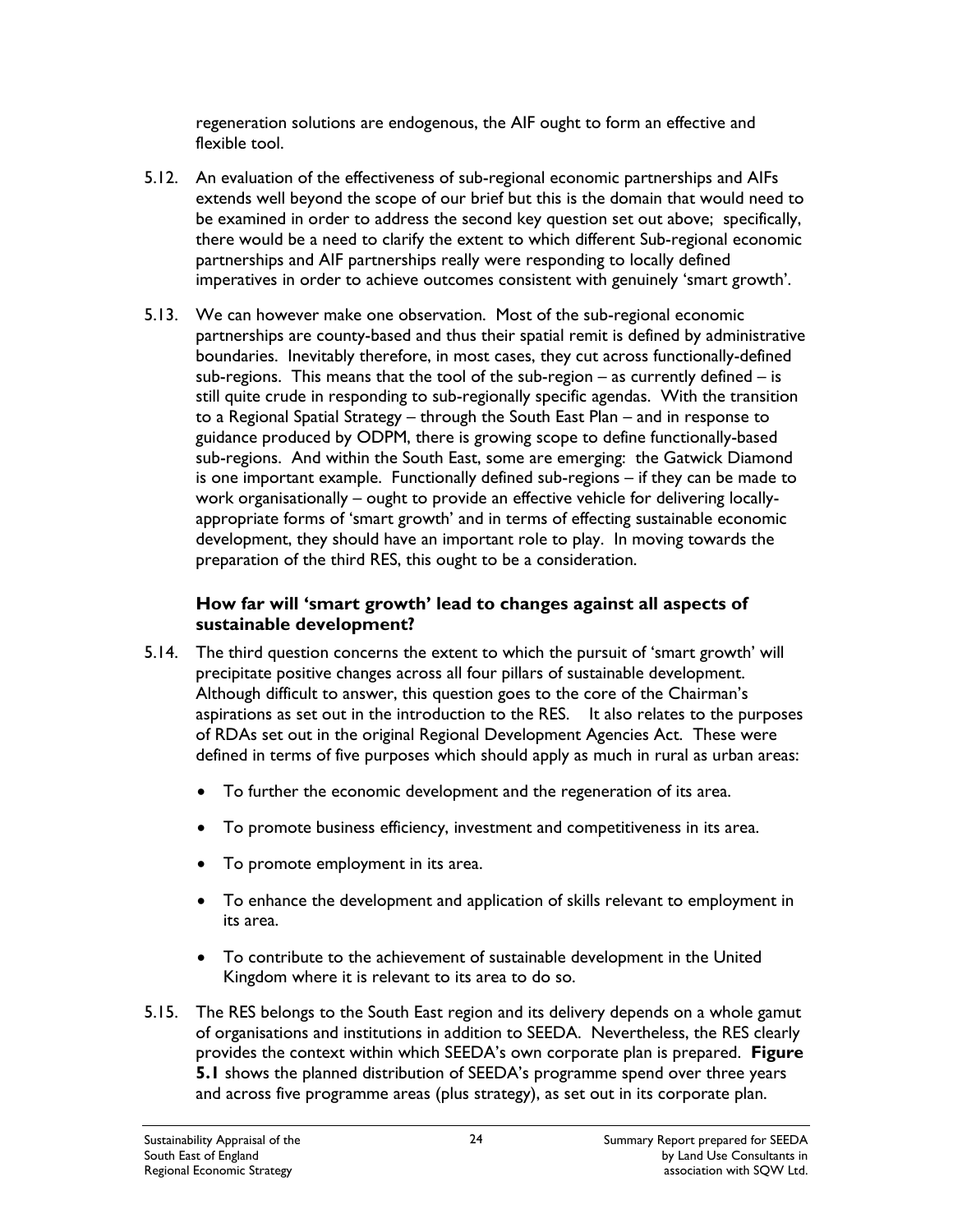regeneration solutions are endogenous, the AIF ought to form an effective and flexible tool.

- 5.12. An evaluation of the effectiveness of sub-regional economic partnerships and AIFs extends well beyond the scope of our brief but this is the domain that would need to be examined in order to address the second key question set out above; specifically, there would be a need to clarify the extent to which different Sub-regional economic partnerships and AIF partnerships really were responding to locally defined imperatives in order to achieve outcomes consistent with genuinely 'smart growth'.
- 5.13. We can however make one observation. Most of the sub-regional economic partnerships are county-based and thus their spatial remit is defined by administrative boundaries. Inevitably therefore, in most cases, they cut across functionally-defined sub-regions. This means that the tool of the sub-region  $-$  as currently defined  $-$  is still quite crude in responding to sub-regionally specific agendas. With the transition to a Regional Spatial Strategy – through the South East Plan – and in response to guidance produced by ODPM, there is growing scope to define functionally-based sub-regions. And within the South East, some are emerging: the Gatwick Diamond is one important example. Functionally defined sub-regions – if they can be made to work organisationally – ought to provide an effective vehicle for delivering locallyappropriate forms of 'smart growth' and in terms of effecting sustainable economic development, they should have an important role to play. In moving towards the preparation of the third RES, this ought to be a consideration.

#### **How far will 'smart growth' lead to changes against all aspects of sustainable development?**

- 5.14. The third question concerns the extent to which the pursuit of 'smart growth' will precipitate positive changes across all four pillars of sustainable development. Although difficult to answer, this question goes to the core of the Chairman's aspirations as set out in the introduction to the RES. It also relates to the purposes of RDAs set out in the original Regional Development Agencies Act. These were defined in terms of five purposes which should apply as much in rural as urban areas:
	- To further the economic development and the regeneration of its area.
	- To promote business efficiency, investment and competitiveness in its area.
	- To promote employment in its area.
	- To enhance the development and application of skills relevant to employment in its area.
	- To contribute to the achievement of sustainable development in the United Kingdom where it is relevant to its area to do so.
- 5.15. The RES belongs to the South East region and its delivery depends on a whole gamut of organisations and institutions in addition to SEEDA. Nevertheless, the RES clearly provides the context within which SEEDA's own corporate plan is prepared. **Figure 5.1** shows the planned distribution of SEEDA's programme spend over three years and across five programme areas (plus strategy), as set out in its corporate plan.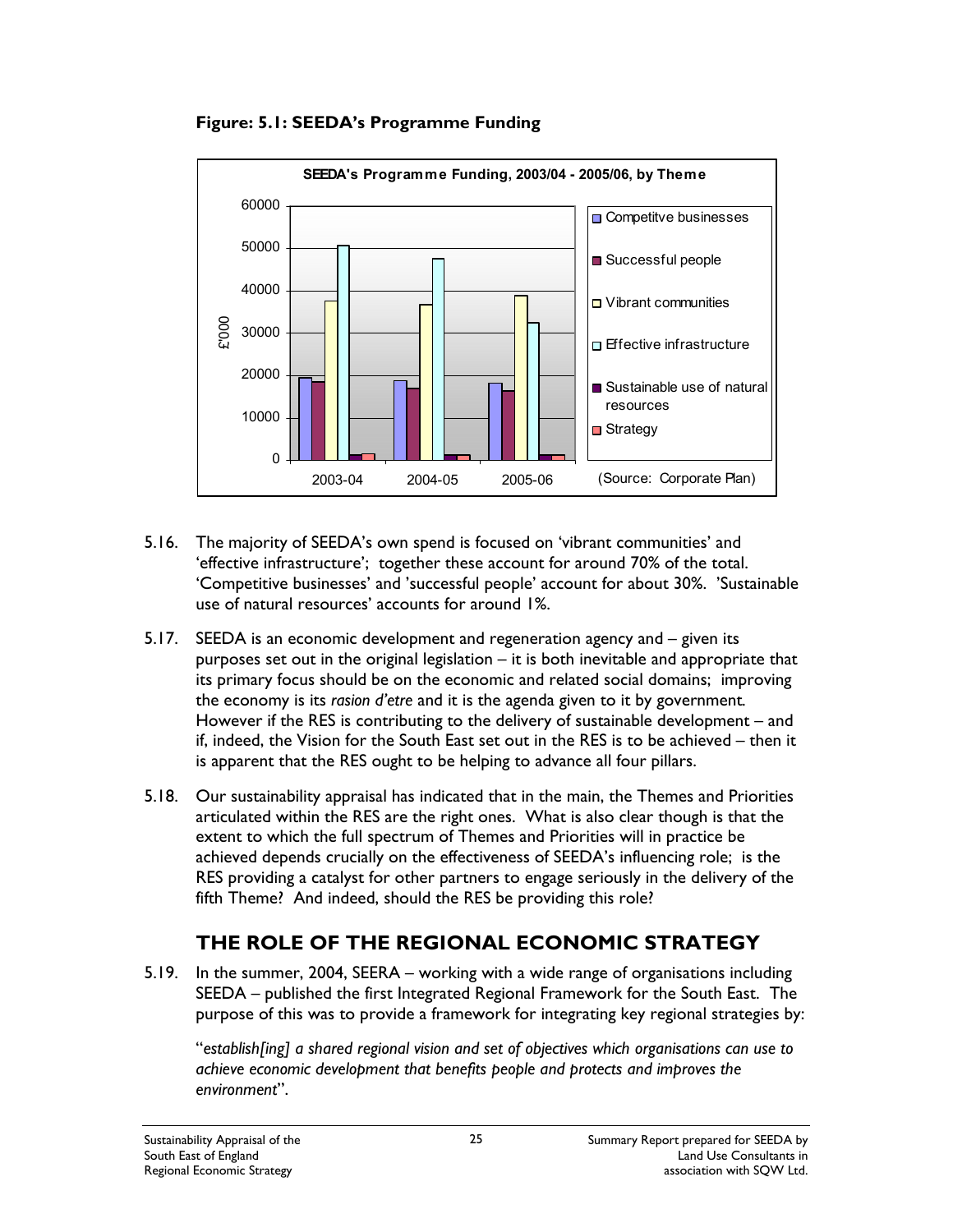

**Figure: 5.1: SEEDA's Programme Funding** 

- 5.16. The majority of SEEDA's own spend is focused on 'vibrant communities' and 'effective infrastructure'; together these account for around 70% of the total. 'Competitive businesses' and 'successful people' account for about 30%. 'Sustainable use of natural resources' accounts for around 1%.
- 5.17. SEEDA is an economic development and regeneration agency and given its purposes set out in the original legislation – it is both inevitable and appropriate that its primary focus should be on the economic and related social domains; improving the economy is its *rasion d'etre* and it is the agenda given to it by government*.*  However if the RES is contributing to the delivery of sustainable development – and if, indeed, the Vision for the South East set out in the RES is to be achieved – then it is apparent that the RES ought to be helping to advance all four pillars.
- 5.18. Our sustainability appraisal has indicated that in the main, the Themes and Priorities articulated within the RES are the right ones. What is also clear though is that the extent to which the full spectrum of Themes and Priorities will in practice be achieved depends crucially on the effectiveness of SEEDA's influencing role; is the RES providing a catalyst for other partners to engage seriously in the delivery of the fifth Theme? And indeed, should the RES be providing this role?

## **THE ROLE OF THE REGIONAL ECONOMIC STRATEGY**

5.19. In the summer, 2004, SEERA – working with a wide range of organisations including SEEDA – published the first Integrated Regional Framework for the South East. The purpose of this was to provide a framework for integrating key regional strategies by:

"*establish[ing] a shared regional vision and set of objectives which organisations can use to achieve economic development that benefits people and protects and improves the environment*".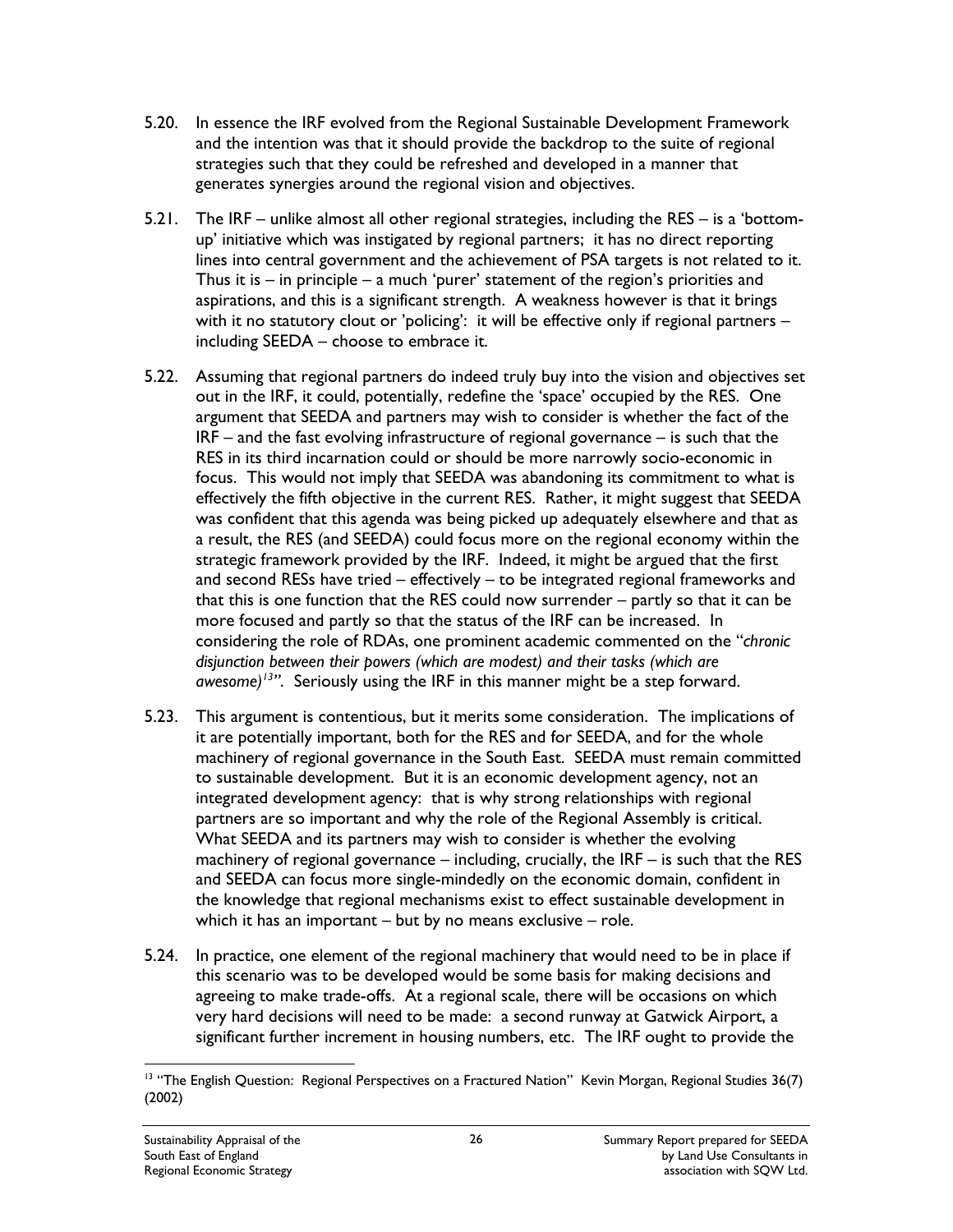- 5.20. In essence the IRF evolved from the Regional Sustainable Development Framework and the intention was that it should provide the backdrop to the suite of regional strategies such that they could be refreshed and developed in a manner that generates synergies around the regional vision and objectives.
- 5.21. The IRF unlike almost all other regional strategies, including the RES is a 'bottomup' initiative which was instigated by regional partners; it has no direct reporting lines into central government and the achievement of PSA targets is not related to it. Thus it is  $-$  in principle  $-$  a much 'purer' statement of the region's priorities and aspirations, and this is a significant strength. A weakness however is that it brings with it no statutory clout or 'policing': it will be effective only if regional partners – including SEEDA – choose to embrace it.
- 5.22. Assuming that regional partners do indeed truly buy into the vision and objectives set out in the IRF, it could, potentially, redefine the 'space' occupied by the RES. One argument that SEEDA and partners may wish to consider is whether the fact of the IRF – and the fast evolving infrastructure of regional governance – is such that the RES in its third incarnation could or should be more narrowly socio-economic in focus. This would not imply that SEEDA was abandoning its commitment to what is effectively the fifth objective in the current RES. Rather, it might suggest that SEEDA was confident that this agenda was being picked up adequately elsewhere and that as a result, the RES (and SEEDA) could focus more on the regional economy within the strategic framework provided by the IRF. Indeed, it might be argued that the first and second RESs have tried – effectively – to be integrated regional frameworks and that this is one function that the RES could now surrender – partly so that it can be more focused and partly so that the status of the IRF can be increased. In considering the role of RDAs, one prominent academic commented on the "*chronic disjunction between their powers (which are modest) and their tasks (which are awesome)13"*. Seriously using the IRF in this manner might be a step forward.
- 5.23. This argument is contentious, but it merits some consideration. The implications of it are potentially important, both for the RES and for SEEDA, and for the whole machinery of regional governance in the South East. SEEDA must remain committed to sustainable development. But it is an economic development agency, not an integrated development agency: that is why strong relationships with regional partners are so important and why the role of the Regional Assembly is critical. What SEEDA and its partners may wish to consider is whether the evolving machinery of regional governance  $-$  including, crucially, the IRF  $-$  is such that the RES and SEEDA can focus more single-mindedly on the economic domain, confident in the knowledge that regional mechanisms exist to effect sustainable development in which it has an important – but by no means exclusive – role.
- 5.24. In practice, one element of the regional machinery that would need to be in place if this scenario was to be developed would be some basis for making decisions and agreeing to make trade-offs. At a regional scale, there will be occasions on which very hard decisions will need to be made: a second runway at Gatwick Airport, a significant further increment in housing numbers, etc. The IRF ought to provide the

 $\overline{a}$ <sup>13</sup> "The English Question: Regional Perspectives on a Fractured Nation" Kevin Morgan, Regional Studies 36(7) (2002)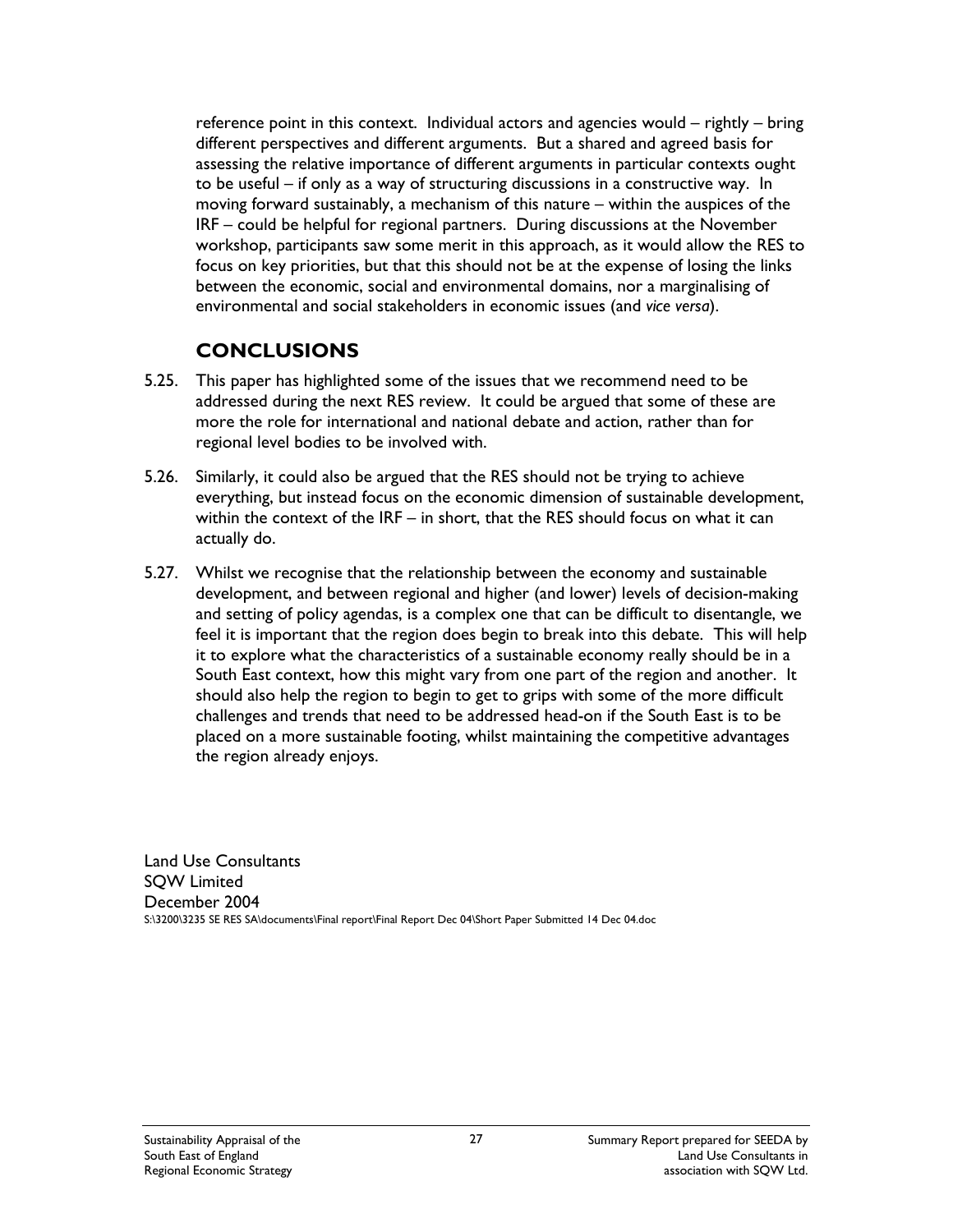reference point in this context. Individual actors and agencies would – rightly – bring different perspectives and different arguments. But a shared and agreed basis for assessing the relative importance of different arguments in particular contexts ought to be useful – if only as a way of structuring discussions in a constructive way. In moving forward sustainably, a mechanism of this nature – within the auspices of the IRF – could be helpful for regional partners. During discussions at the November workshop, participants saw some merit in this approach, as it would allow the RES to focus on key priorities, but that this should not be at the expense of losing the links between the economic, social and environmental domains, nor a marginalising of environmental and social stakeholders in economic issues (and *vice versa*).

### **CONCLUSIONS**

- 5.25. This paper has highlighted some of the issues that we recommend need to be addressed during the next RES review. It could be argued that some of these are more the role for international and national debate and action, rather than for regional level bodies to be involved with.
- 5.26. Similarly, it could also be argued that the RES should not be trying to achieve everything, but instead focus on the economic dimension of sustainable development, within the context of the IRF – in short, that the RES should focus on what it can actually do.
- 5.27. Whilst we recognise that the relationship between the economy and sustainable development, and between regional and higher (and lower) levels of decision-making and setting of policy agendas, is a complex one that can be difficult to disentangle, we feel it is important that the region does begin to break into this debate. This will help it to explore what the characteristics of a sustainable economy really should be in a South East context, how this might vary from one part of the region and another. It should also help the region to begin to get to grips with some of the more difficult challenges and trends that need to be addressed head-on if the South East is to be placed on a more sustainable footing, whilst maintaining the competitive advantages the region already enjoys.

Land Use Consultants SQW Limited December 2004 S:\3200\3235 SE RES SA\documents\Final report\Final Report Dec 04\Short Paper Submitted 14 Dec 04.doc